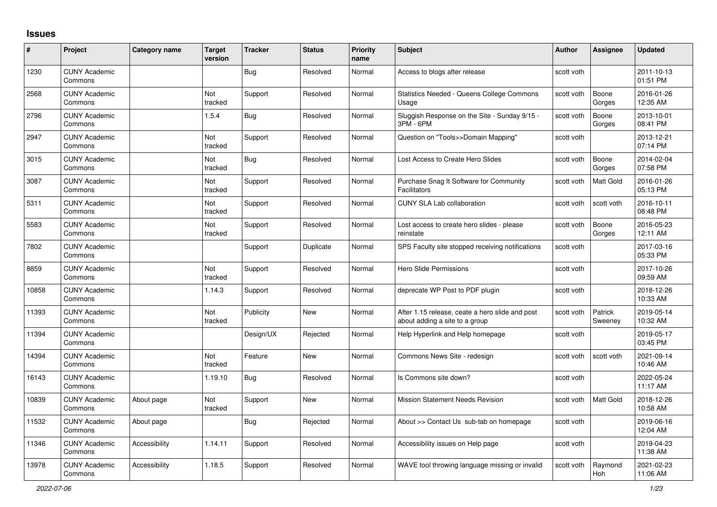## **Issues**

| #     | Project                         | Category name | <b>Target</b><br>version | <b>Tracker</b> | <b>Status</b> | <b>Priority</b><br>name | <b>Subject</b>                                                                    | <b>Author</b> | <b>Assignee</b>    | <b>Updated</b>         |
|-------|---------------------------------|---------------|--------------------------|----------------|---------------|-------------------------|-----------------------------------------------------------------------------------|---------------|--------------------|------------------------|
| 1230  | <b>CUNY Academic</b><br>Commons |               |                          | Bug            | Resolved      | Normal                  | Access to blogs after release                                                     | scott voth    |                    | 2011-10-13<br>01:51 PM |
| 2568  | <b>CUNY Academic</b><br>Commons |               | Not<br>tracked           | Support        | Resolved      | Normal                  | <b>Statistics Needed - Queens College Commons</b><br>Usage                        | scott voth    | Boone<br>Gorges    | 2016-01-26<br>12:35 AM |
| 2796  | <b>CUNY Academic</b><br>Commons |               | 1.5.4                    | <b>Bug</b>     | Resolved      | Normal                  | Sluggish Response on the Site - Sunday 9/15 -<br>3PM - 6PM                        | scott voth    | Boone<br>Gorges    | 2013-10-01<br>08:41 PM |
| 2947  | <b>CUNY Academic</b><br>Commons |               | Not<br>tracked           | Support        | Resolved      | Normal                  | Question on "Tools>>Domain Mapping"                                               | scott voth    |                    | 2013-12-21<br>07:14 PM |
| 3015  | <b>CUNY Academic</b><br>Commons |               | <b>Not</b><br>tracked    | <b>Bug</b>     | Resolved      | Normal                  | Lost Access to Create Hero Slides                                                 | scott voth    | Boone<br>Gorges    | 2014-02-04<br>07:58 PM |
| 3087  | <b>CUNY Academic</b><br>Commons |               | Not<br>tracked           | Support        | Resolved      | Normal                  | Purchase Snag It Software for Community<br>Facilitators                           | scott voth    | Matt Gold          | 2016-01-26<br>05:13 PM |
| 5311  | <b>CUNY Academic</b><br>Commons |               | Not<br>tracked           | Support        | Resolved      | Normal                  | <b>CUNY SLA Lab collaboration</b>                                                 | scott voth    | scott voth         | 2016-10-11<br>08:48 PM |
| 5583  | <b>CUNY Academic</b><br>Commons |               | Not<br>tracked           | Support        | Resolved      | Normal                  | Lost access to create hero slides - please<br>reinstate                           | scott voth    | Boone<br>Gorges    | 2016-05-23<br>12:11 AM |
| 7802  | <b>CUNY Academic</b><br>Commons |               |                          | Support        | Duplicate     | Normal                  | SPS Faculty site stopped receiving notifications                                  | scott voth    |                    | 2017-03-16<br>05:33 PM |
| 8859  | <b>CUNY Academic</b><br>Commons |               | Not<br>tracked           | Support        | Resolved      | Normal                  | Hero Slide Permissions                                                            | scott voth    |                    | 2017-10-26<br>09:59 AM |
| 10858 | <b>CUNY Academic</b><br>Commons |               | 1.14.3                   | Support        | Resolved      | Normal                  | deprecate WP Post to PDF plugin                                                   | scott voth    |                    | 2018-12-26<br>10:33 AM |
| 11393 | <b>CUNY Academic</b><br>Commons |               | Not<br>tracked           | Publicity      | <b>New</b>    | Normal                  | After 1.15 release, ceate a hero slide and post<br>about adding a site to a group | scott voth    | Patrick<br>Sweeney | 2019-05-14<br>10:32 AM |
| 11394 | <b>CUNY Academic</b><br>Commons |               |                          | Design/UX      | Rejected      | Normal                  | Help Hyperlink and Help homepage                                                  | scott voth    |                    | 2019-05-17<br>03:45 PM |
| 14394 | <b>CUNY Academic</b><br>Commons |               | Not<br>tracked           | Feature        | <b>New</b>    | Normal                  | Commons News Site - redesign                                                      | scott voth    | scott voth         | 2021-09-14<br>10:46 AM |
| 16143 | <b>CUNY Academic</b><br>Commons |               | 1.19.10                  | Bug            | Resolved      | Normal                  | Is Commons site down?                                                             | scott voth    |                    | 2022-05-24<br>11:17 AM |
| 10839 | <b>CUNY Academic</b><br>Commons | About page    | <b>Not</b><br>tracked    | Support        | <b>New</b>    | Normal                  | <b>Mission Statement Needs Revision</b>                                           | scott voth    | Matt Gold          | 2018-12-26<br>10:58 AM |
| 11532 | <b>CUNY Academic</b><br>Commons | About page    |                          | Bug            | Rejected      | Normal                  | About >> Contact Us sub-tab on homepage                                           | scott voth    |                    | 2019-06-16<br>12:04 AM |
| 11346 | <b>CUNY Academic</b><br>Commons | Accessibility | 1.14.11                  | Support        | Resolved      | Normal                  | Accessibility issues on Help page                                                 | scott voth    |                    | 2019-04-23<br>11:38 AM |
| 13978 | <b>CUNY Academic</b><br>Commons | Accessibility | 1.18.5                   | Support        | Resolved      | Normal                  | WAVE tool throwing language missing or invalid                                    | scott voth    | Raymond<br>Hoh     | 2021-02-23<br>11:06 AM |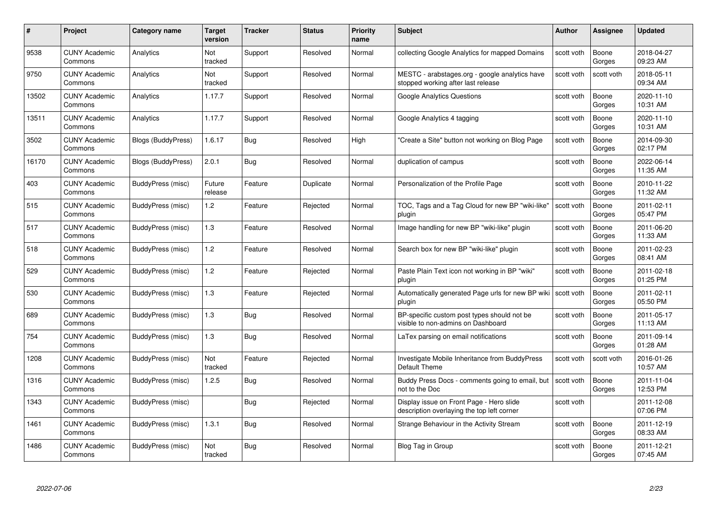| #     | Project                         | Category name             | <b>Target</b><br>version | <b>Tracker</b> | <b>Status</b> | <b>Priority</b><br>name | <b>Subject</b>                                                                         | <b>Author</b> | Assignee        | <b>Updated</b>         |
|-------|---------------------------------|---------------------------|--------------------------|----------------|---------------|-------------------------|----------------------------------------------------------------------------------------|---------------|-----------------|------------------------|
| 9538  | <b>CUNY Academic</b><br>Commons | Analytics                 | Not<br>tracked           | Support        | Resolved      | Normal                  | collecting Google Analytics for mapped Domains                                         | scott voth    | Boone<br>Gorges | 2018-04-27<br>09:23 AM |
| 9750  | <b>CUNY Academic</b><br>Commons | Analytics                 | Not<br>tracked           | Support        | Resolved      | Normal                  | MESTC - arabstages.org - google analytics have<br>stopped working after last release   | scott voth    | scott voth      | 2018-05-11<br>09:34 AM |
| 13502 | <b>CUNY Academic</b><br>Commons | Analytics                 | 1.17.7                   | Support        | Resolved      | Normal                  | <b>Google Analytics Questions</b>                                                      | scott voth    | Boone<br>Gorges | 2020-11-10<br>10:31 AM |
| 13511 | <b>CUNY Academic</b><br>Commons | Analytics                 | 1.17.7                   | Support        | Resolved      | Normal                  | Google Analytics 4 tagging                                                             | scott voth    | Boone<br>Gorges | 2020-11-10<br>10:31 AM |
| 3502  | <b>CUNY Academic</b><br>Commons | <b>Blogs (BuddyPress)</b> | 1.6.17                   | Bug            | Resolved      | High                    | "Create a Site" button not working on Blog Page                                        | scott voth    | Boone<br>Gorges | 2014-09-30<br>02:17 PM |
| 16170 | <b>CUNY Academic</b><br>Commons | Blogs (BuddyPress)        | 2.0.1                    | <b>Bug</b>     | Resolved      | Normal                  | duplication of campus                                                                  | scott voth    | Boone<br>Gorges | 2022-06-14<br>11:35 AM |
| 403   | <b>CUNY Academic</b><br>Commons | BuddyPress (misc)         | Future<br>release        | Feature        | Duplicate     | Normal                  | Personalization of the Profile Page                                                    | scott voth    | Boone<br>Gorges | 2010-11-22<br>11:32 AM |
| 515   | <b>CUNY Academic</b><br>Commons | BuddyPress (misc)         | 1.2                      | Feature        | Rejected      | Normal                  | TOC, Tags and a Tag Cloud for new BP "wiki-like"<br>plugin                             | scott voth    | Boone<br>Gorges | 2011-02-11<br>05:47 PM |
| 517   | <b>CUNY Academic</b><br>Commons | BuddyPress (misc)         | 1.3                      | Feature        | Resolved      | Normal                  | Image handling for new BP "wiki-like" plugin                                           | scott voth    | Boone<br>Gorges | 2011-06-20<br>11:33 AM |
| 518   | <b>CUNY Academic</b><br>Commons | BuddyPress (misc)         | 1.2                      | Feature        | Resolved      | Normal                  | Search box for new BP "wiki-like" plugin                                               | scott voth    | Boone<br>Gorges | 2011-02-23<br>08:41 AM |
| 529   | <b>CUNY Academic</b><br>Commons | BuddyPress (misc)         | 1.2                      | Feature        | Rejected      | Normal                  | Paste Plain Text icon not working in BP "wiki"<br>plugin                               | scott voth    | Boone<br>Gorges | 2011-02-18<br>01:25 PM |
| 530   | <b>CUNY Academic</b><br>Commons | BuddyPress (misc)         | 1.3                      | Feature        | Rejected      | Normal                  | Automatically generated Page urls for new BP wiki  <br>plugin                          | scott voth    | Boone<br>Gorges | 2011-02-11<br>05:50 PM |
| 689   | <b>CUNY Academic</b><br>Commons | BuddyPress (misc)         | 1.3                      | Bug            | Resolved      | Normal                  | BP-specific custom post types should not be<br>visible to non-admins on Dashboard      | scott voth    | Boone<br>Gorges | 2011-05-17<br>11:13 AM |
| 754   | <b>CUNY Academic</b><br>Commons | BuddyPress (misc)         | 1.3                      | Bug            | Resolved      | Normal                  | LaTex parsing on email notifications                                                   | scott voth    | Boone<br>Gorges | 2011-09-14<br>01:28 AM |
| 1208  | <b>CUNY Academic</b><br>Commons | BuddyPress (misc)         | Not<br>tracked           | Feature        | Rejected      | Normal                  | Investigate Mobile Inheritance from BuddyPress<br>Default Theme                        | scott voth    | scott voth      | 2016-01-26<br>10:57 AM |
| 1316  | <b>CUNY Academic</b><br>Commons | BuddyPress (misc)         | 1.2.5                    | Bug            | Resolved      | Normal                  | Buddy Press Docs - comments going to email, but<br>not to the Doc                      | scott voth    | Boone<br>Gorges | 2011-11-04<br>12:53 PM |
| 1343  | <b>CUNY Academic</b><br>Commons | BuddyPress (misc)         |                          | Bug            | Rejected      | Normal                  | Display issue on Front Page - Hero slide<br>description overlaying the top left corner | scott voth    |                 | 2011-12-08<br>07:06 PM |
| 1461  | <b>CUNY Academic</b><br>Commons | BuddyPress (misc)         | 1.3.1                    | Bug            | Resolved      | Normal                  | Strange Behaviour in the Activity Stream                                               | scott voth    | Boone<br>Gorges | 2011-12-19<br>08:33 AM |
| 1486  | <b>CUNY Academic</b><br>Commons | BuddyPress (misc)         | Not<br>tracked           | <b>Bug</b>     | Resolved      | Normal                  | Blog Tag in Group                                                                      | scott voth    | Boone<br>Gorges | 2011-12-21<br>07:45 AM |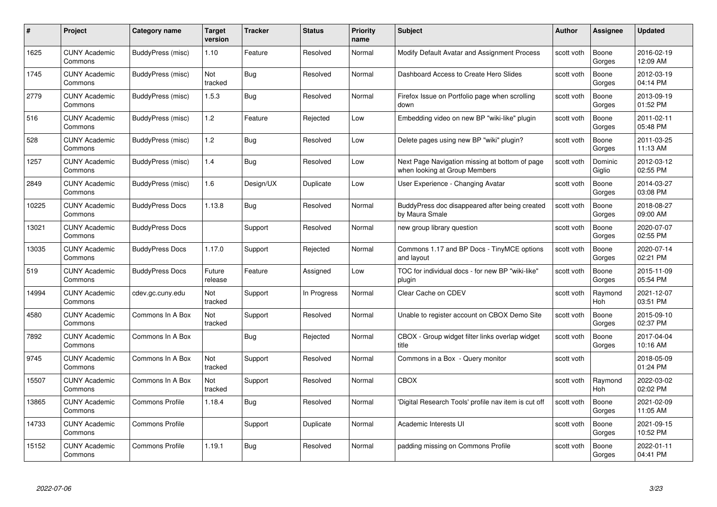| #     | Project                         | <b>Category name</b>   | Target<br>version | <b>Tracker</b> | <b>Status</b> | <b>Priority</b><br>name | <b>Subject</b>                                                                  | <b>Author</b> | <b>Assignee</b>   | <b>Updated</b>         |
|-------|---------------------------------|------------------------|-------------------|----------------|---------------|-------------------------|---------------------------------------------------------------------------------|---------------|-------------------|------------------------|
| 1625  | <b>CUNY Academic</b><br>Commons | BuddyPress (misc)      | 1.10              | Feature        | Resolved      | Normal                  | Modify Default Avatar and Assignment Process                                    | scott voth    | Boone<br>Gorges   | 2016-02-19<br>12:09 AM |
| 1745  | <b>CUNY Academic</b><br>Commons | BuddyPress (misc)      | Not<br>tracked    | <b>Bug</b>     | Resolved      | Normal                  | Dashboard Access to Create Hero Slides                                          | scott voth    | Boone<br>Gorges   | 2012-03-19<br>04:14 PM |
| 2779  | <b>CUNY Academic</b><br>Commons | BuddyPress (misc)      | 1.5.3             | <b>Bug</b>     | Resolved      | Normal                  | Firefox Issue on Portfolio page when scrolling<br>down                          | scott voth    | Boone<br>Gorges   | 2013-09-19<br>01:52 PM |
| 516   | <b>CUNY Academic</b><br>Commons | BuddyPress (misc)      | 1.2               | Feature        | Rejected      | Low                     | Embedding video on new BP "wiki-like" plugin                                    | scott voth    | Boone<br>Gorges   | 2011-02-11<br>05:48 PM |
| 528   | <b>CUNY Academic</b><br>Commons | BuddyPress (misc)      | 1.2               | Bug            | Resolved      | Low                     | Delete pages using new BP "wiki" plugin?                                        | scott voth    | Boone<br>Gorges   | 2011-03-25<br>11:13 AM |
| 1257  | <b>CUNY Academic</b><br>Commons | BuddyPress (misc)      | 1.4               | Bug            | Resolved      | Low                     | Next Page Navigation missing at bottom of page<br>when looking at Group Members | scott voth    | Dominic<br>Giglio | 2012-03-12<br>02:55 PM |
| 2849  | <b>CUNY Academic</b><br>Commons | BuddyPress (misc)      | 1.6               | Design/UX      | Duplicate     | Low                     | User Experience - Changing Avatar                                               | scott voth    | Boone<br>Gorges   | 2014-03-27<br>03:08 PM |
| 10225 | <b>CUNY Academic</b><br>Commons | <b>BuddyPress Docs</b> | 1.13.8            | <b>Bug</b>     | Resolved      | Normal                  | BuddyPress doc disappeared after being created<br>by Maura Smale                | scott voth    | Boone<br>Gorges   | 2018-08-27<br>09:00 AM |
| 13021 | <b>CUNY Academic</b><br>Commons | <b>BuddyPress Docs</b> |                   | Support        | Resolved      | Normal                  | new group library question                                                      | scott voth    | Boone<br>Gorges   | 2020-07-07<br>02:55 PM |
| 13035 | <b>CUNY Academic</b><br>Commons | <b>BuddyPress Docs</b> | 1.17.0            | Support        | Rejected      | Normal                  | Commons 1.17 and BP Docs - TinyMCE options<br>and layout                        | scott voth    | Boone<br>Gorges   | 2020-07-14<br>02:21 PM |
| 519   | CUNY Academic<br>Commons        | <b>BuddyPress Docs</b> | Future<br>release | Feature        | Assigned      | Low                     | TOC for individual docs - for new BP "wiki-like"<br>plugin                      | scott voth    | Boone<br>Gorges   | 2015-11-09<br>05:54 PM |
| 14994 | <b>CUNY Academic</b><br>Commons | cdev.gc.cuny.edu       | Not<br>tracked    | Support        | In Progress   | Normal                  | Clear Cache on CDEV                                                             | scott voth    | Raymond<br>Hoh    | 2021-12-07<br>03:51 PM |
| 4580  | <b>CUNY Academic</b><br>Commons | Commons In A Box       | Not<br>tracked    | Support        | Resolved      | Normal                  | Unable to register account on CBOX Demo Site                                    | scott voth    | Boone<br>Gorges   | 2015-09-10<br>02:37 PM |
| 7892  | <b>CUNY Academic</b><br>Commons | Commons In A Box       |                   | <b>Bug</b>     | Rejected      | Normal                  | CBOX - Group widget filter links overlap widget<br>title                        | scott voth    | Boone<br>Gorges   | 2017-04-04<br>10:16 AM |
| 9745  | <b>CUNY Academic</b><br>Commons | Commons In A Box       | Not<br>tracked    | Support        | Resolved      | Normal                  | Commons in a Box - Query monitor                                                | scott voth    |                   | 2018-05-09<br>01:24 PM |
| 15507 | <b>CUNY Academic</b><br>Commons | Commons In A Box       | Not<br>tracked    | Support        | Resolved      | Normal                  | <b>CBOX</b>                                                                     | scott voth    | Raymond<br>Hoh    | 2022-03-02<br>02:02 PM |
| 13865 | <b>CUNY Academic</b><br>Commons | <b>Commons Profile</b> | 1.18.4            | <b>Bug</b>     | Resolved      | Normal                  | 'Digital Research Tools' profile nav item is cut off                            | scott voth    | Boone<br>Gorges   | 2021-02-09<br>11:05 AM |
| 14733 | <b>CUNY Academic</b><br>Commons | <b>Commons Profile</b> |                   | Support        | Duplicate     | Normal                  | Academic Interests UI                                                           | scott voth    | Boone<br>Gorges   | 2021-09-15<br>10:52 PM |
| 15152 | CUNY Academic<br>Commons        | <b>Commons Profile</b> | 1.19.1            | Bug            | Resolved      | Normal                  | padding missing on Commons Profile                                              | scott voth    | Boone<br>Gorges   | 2022-01-11<br>04:41 PM |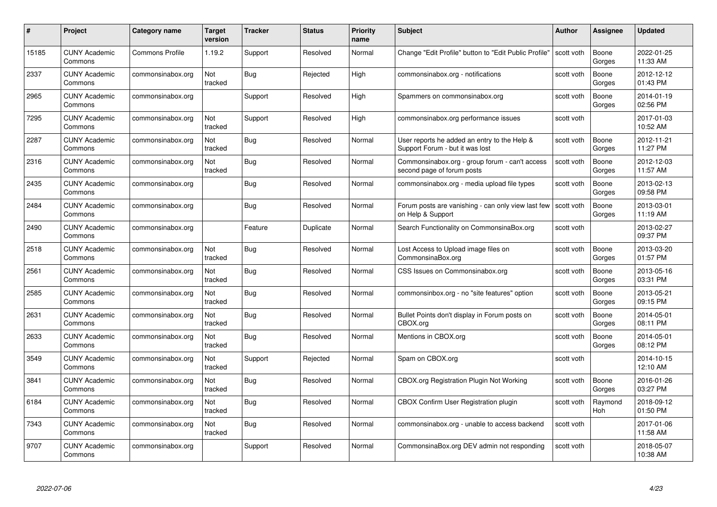| #     | Project                         | <b>Category name</b>   | Target<br>version | <b>Tracker</b> | <b>Status</b> | <b>Priority</b><br>name | <b>Subject</b>                                                                  | <b>Author</b> | <b>Assignee</b>       | <b>Updated</b>         |
|-------|---------------------------------|------------------------|-------------------|----------------|---------------|-------------------------|---------------------------------------------------------------------------------|---------------|-----------------------|------------------------|
| 15185 | <b>CUNY Academic</b><br>Commons | <b>Commons Profile</b> | 1.19.2            | Support        | Resolved      | Normal                  | Change "Edit Profile" button to "Edit Public Profile"                           | scott voth    | Boone<br>Gorges       | 2022-01-25<br>11:33 AM |
| 2337  | <b>CUNY Academic</b><br>Commons | commonsinabox.org      | Not<br>tracked    | <b>Bug</b>     | Rejected      | High                    | commonsinabox.org - notifications                                               | scott voth    | Boone<br>Gorges       | 2012-12-12<br>01:43 PM |
| 2965  | <b>CUNY Academic</b><br>Commons | commonsinabox.org      |                   | Support        | Resolved      | High                    | Spammers on commonsinabox.org                                                   | scott voth    | Boone<br>Gorges       | 2014-01-19<br>02:56 PM |
| 7295  | <b>CUNY Academic</b><br>Commons | commonsinabox.org      | Not<br>tracked    | Support        | Resolved      | High                    | commonsinabox.org performance issues                                            | scott voth    |                       | 2017-01-03<br>10:52 AM |
| 2287  | <b>CUNY Academic</b><br>Commons | commonsinabox.org      | Not<br>tracked    | Bug            | Resolved      | Normal                  | User reports he added an entry to the Help &<br>Support Forum - but it was lost | scott voth    | Boone<br>Gorges       | 2012-11-21<br>11:27 PM |
| 2316  | <b>CUNY Academic</b><br>Commons | commonsinabox.org      | Not<br>tracked    | Bug            | Resolved      | Normal                  | Commonsinabox.org - group forum - can't access<br>second page of forum posts    | scott voth    | Boone<br>Gorges       | 2012-12-03<br>11:57 AM |
| 2435  | <b>CUNY Academic</b><br>Commons | commonsinabox.org      |                   | Bug            | Resolved      | Normal                  | commonsinabox.org - media upload file types                                     | scott voth    | Boone<br>Gorges       | 2013-02-13<br>09:58 PM |
| 2484  | <b>CUNY Academic</b><br>Commons | commonsinabox.org      |                   | Bug            | Resolved      | Normal                  | Forum posts are vanishing - can only view last few<br>on Help & Support         | scott voth    | Boone<br>Gorges       | 2013-03-01<br>11:19 AM |
| 2490  | <b>CUNY Academic</b><br>Commons | commonsinabox.org      |                   | Feature        | Duplicate     | Normal                  | Search Functionality on CommonsinaBox.org                                       | scott voth    |                       | 2013-02-27<br>09:37 PM |
| 2518  | <b>CUNY Academic</b><br>Commons | commonsinabox.org      | Not<br>tracked    | Bug            | Resolved      | Normal                  | Lost Access to Upload image files on<br>CommonsinaBox.org                       | scott voth    | Boone<br>Gorges       | 2013-03-20<br>01:57 PM |
| 2561  | CUNY Academic<br>Commons        | commonsinabox.org      | Not<br>tracked    | Bug            | Resolved      | Normal                  | CSS Issues on Commonsinabox.org                                                 | scott voth    | Boone<br>Gorges       | 2013-05-16<br>03:31 PM |
| 2585  | <b>CUNY Academic</b><br>Commons | commonsinabox.org      | Not<br>tracked    | <b>Bug</b>     | Resolved      | Normal                  | commonsinbox.org - no "site features" option                                    | scott voth    | Boone<br>Gorges       | 2013-05-21<br>09:15 PM |
| 2631  | <b>CUNY Academic</b><br>Commons | commonsinabox.org      | Not<br>tracked    | Bug            | Resolved      | Normal                  | Bullet Points don't display in Forum posts on<br>CBOX.org                       | scott voth    | Boone<br>Gorges       | 2014-05-01<br>08:11 PM |
| 2633  | <b>CUNY Academic</b><br>Commons | commonsinabox.org      | Not<br>tracked    | <b>Bug</b>     | Resolved      | Normal                  | Mentions in CBOX.org                                                            | scott voth    | Boone<br>Gorges       | 2014-05-01<br>08:12 PM |
| 3549  | <b>CUNY Academic</b><br>Commons | commonsinabox.org      | Not<br>tracked    | Support        | Rejected      | Normal                  | Spam on CBOX.org                                                                | scott voth    |                       | 2014-10-15<br>12:10 AM |
| 3841  | <b>CUNY Academic</b><br>Commons | commonsinabox.org      | Not<br>tracked    | Bug            | Resolved      | Normal                  | CBOX.org Registration Plugin Not Working                                        | scott voth    | Boone<br>Gorges       | 2016-01-26<br>03:27 PM |
| 6184  | <b>CUNY Academic</b><br>Commons | commonsinabox.org      | Not<br>tracked    | <b>Bug</b>     | Resolved      | Normal                  | CBOX Confirm User Registration plugin                                           | scott voth    | Raymond<br><b>Hoh</b> | 2018-09-12<br>01:50 PM |
| 7343  | <b>CUNY Academic</b><br>Commons | commonsinabox.org      | Not<br>tracked    | Bug            | Resolved      | Normal                  | commonsinabox.org - unable to access backend                                    | scott voth    |                       | 2017-01-06<br>11:58 AM |
| 9707  | CUNY Academic<br>Commons        | commonsinabox.org      |                   | Support        | Resolved      | Normal                  | CommonsinaBox.org DEV admin not responding                                      | scott voth    |                       | 2018-05-07<br>10:38 AM |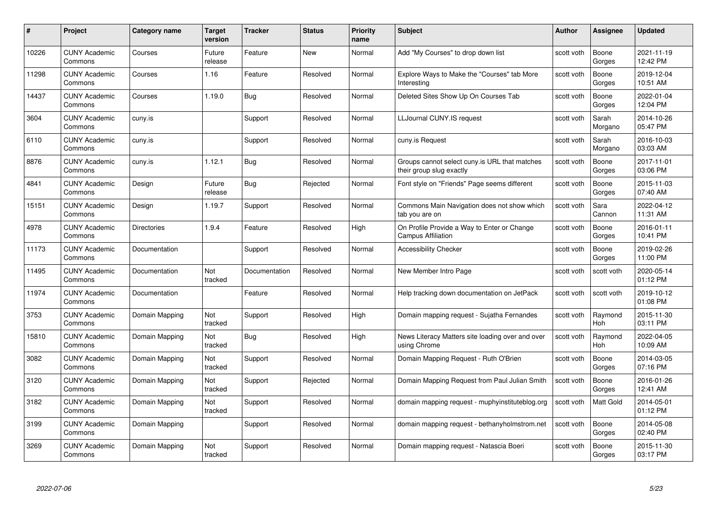| #     | Project                         | Category name      | <b>Target</b><br>version | <b>Tracker</b> | <b>Status</b> | <b>Priority</b><br>name | <b>Subject</b>                                                            | <b>Author</b> | Assignee         | <b>Updated</b>         |
|-------|---------------------------------|--------------------|--------------------------|----------------|---------------|-------------------------|---------------------------------------------------------------------------|---------------|------------------|------------------------|
| 10226 | <b>CUNY Academic</b><br>Commons | Courses            | Future<br>release        | Feature        | <b>New</b>    | Normal                  | Add "My Courses" to drop down list                                        | scott voth    | Boone<br>Gorges  | 2021-11-19<br>12:42 PM |
| 11298 | <b>CUNY Academic</b><br>Commons | Courses            | 1.16                     | Feature        | Resolved      | Normal                  | Explore Ways to Make the "Courses" tab More<br>Interesting                | scott voth    | Boone<br>Gorges  | 2019-12-04<br>10:51 AM |
| 14437 | <b>CUNY Academic</b><br>Commons | Courses            | 1.19.0                   | <b>Bug</b>     | Resolved      | Normal                  | Deleted Sites Show Up On Courses Tab                                      | scott voth    | Boone<br>Gorges  | 2022-01-04<br>12:04 PM |
| 3604  | <b>CUNY Academic</b><br>Commons | cuny.is            |                          | Support        | Resolved      | Normal                  | LLJournal CUNY.IS request                                                 | scott voth    | Sarah<br>Morgano | 2014-10-26<br>05:47 PM |
| 6110  | <b>CUNY Academic</b><br>Commons | cuny.is            |                          | Support        | Resolved      | Normal                  | cuny.is Request                                                           | scott voth    | Sarah<br>Morgano | 2016-10-03<br>03:03 AM |
| 8876  | <b>CUNY Academic</b><br>Commons | cuny.is            | 1.12.1                   | Bug            | Resolved      | Normal                  | Groups cannot select cuny is URL that matches<br>their group slug exactly | scott voth    | Boone<br>Gorges  | 2017-11-01<br>03:06 PM |
| 4841  | <b>CUNY Academic</b><br>Commons | Design             | Future<br>release        | Bug            | Rejected      | Normal                  | Font style on "Friends" Page seems different                              | scott voth    | Boone<br>Gorges  | 2015-11-03<br>07:40 AM |
| 15151 | <b>CUNY Academic</b><br>Commons | Design             | 1.19.7                   | Support        | Resolved      | Normal                  | Commons Main Navigation does not show which<br>tab you are on             | scott voth    | Sara<br>Cannon   | 2022-04-12<br>11:31 AM |
| 4978  | <b>CUNY Academic</b><br>Commons | <b>Directories</b> | 1.9.4                    | Feature        | Resolved      | High                    | On Profile Provide a Way to Enter or Change<br><b>Campus Affiliation</b>  | scott voth    | Boone<br>Gorges  | 2016-01-11<br>10:41 PM |
| 11173 | <b>CUNY Academic</b><br>Commons | Documentation      |                          | Support        | Resolved      | Normal                  | <b>Accessibility Checker</b>                                              | scott voth    | Boone<br>Gorges  | 2019-02-26<br>11:00 PM |
| 11495 | <b>CUNY Academic</b><br>Commons | Documentation      | Not<br>tracked           | Documentation  | Resolved      | Normal                  | New Member Intro Page                                                     | scott voth    | scott voth       | 2020-05-14<br>01:12 PM |
| 11974 | <b>CUNY Academic</b><br>Commons | Documentation      |                          | Feature        | Resolved      | Normal                  | Help tracking down documentation on JetPack                               | scott voth    | scott voth       | 2019-10-12<br>01:08 PM |
| 3753  | <b>CUNY Academic</b><br>Commons | Domain Mapping     | Not<br>tracked           | Support        | Resolved      | High                    | Domain mapping request - Sujatha Fernandes                                | scott voth    | Raymond<br>Hoh   | 2015-11-30<br>03:11 PM |
| 15810 | <b>CUNY Academic</b><br>Commons | Domain Mapping     | Not<br>tracked           | Bug            | Resolved      | High                    | News Literacy Matters site loading over and over<br>using Chrome          | scott voth    | Raymond<br>Hoh   | 2022-04-05<br>10:09 AM |
| 3082  | <b>CUNY Academic</b><br>Commons | Domain Mapping     | Not<br>tracked           | Support        | Resolved      | Normal                  | Domain Mapping Request - Ruth O'Brien                                     | scott voth    | Boone<br>Gorges  | 2014-03-05<br>07:16 PM |
| 3120  | <b>CUNY Academic</b><br>Commons | Domain Mapping     | Not<br>tracked           | Support        | Rejected      | Normal                  | Domain Mapping Request from Paul Julian Smith                             | scott voth    | Boone<br>Gorges  | 2016-01-26<br>12:41 AM |
| 3182  | <b>CUNY Academic</b><br>Commons | Domain Mapping     | Not<br>tracked           | Support        | Resolved      | Normal                  | domain mapping request - muphyinstituteblog.org                           | scott voth    | <b>Matt Gold</b> | 2014-05-01<br>01:12 PM |
| 3199  | <b>CUNY Academic</b><br>Commons | Domain Mapping     |                          | Support        | Resolved      | Normal                  | domain mapping request - bethanyholmstrom.net                             | scott voth    | Boone<br>Gorges  | 2014-05-08<br>02:40 PM |
| 3269  | <b>CUNY Academic</b><br>Commons | Domain Mapping     | Not<br>tracked           | Support        | Resolved      | Normal                  | Domain mapping request - Natascia Boeri                                   | scott voth    | Boone<br>Gorges  | 2015-11-30<br>03:17 PM |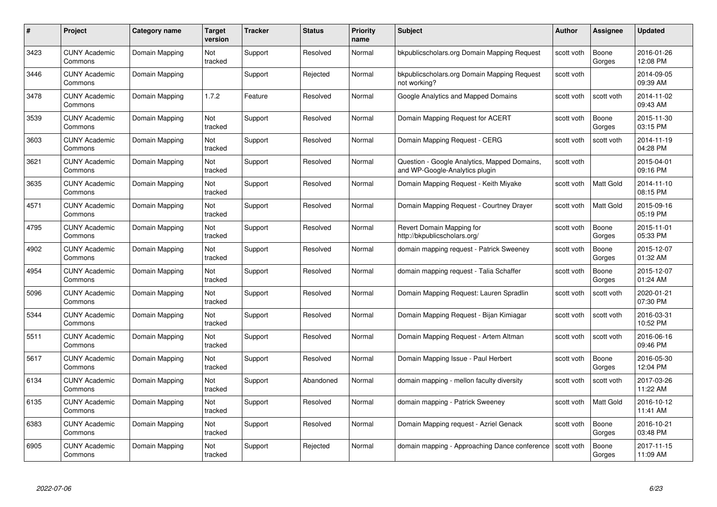| #    | Project                         | Category name  | Target<br>version | <b>Tracker</b> | <b>Status</b> | <b>Priority</b><br>name | <b>Subject</b>                                                                 | <b>Author</b> | <b>Assignee</b>  | <b>Updated</b>         |
|------|---------------------------------|----------------|-------------------|----------------|---------------|-------------------------|--------------------------------------------------------------------------------|---------------|------------------|------------------------|
| 3423 | <b>CUNY Academic</b><br>Commons | Domain Mapping | Not<br>tracked    | Support        | Resolved      | Normal                  | bkpublicscholars.org Domain Mapping Request                                    | scott voth    | Boone<br>Gorges  | 2016-01-26<br>12:08 PM |
| 3446 | <b>CUNY Academic</b><br>Commons | Domain Mapping |                   | Support        | Rejected      | Normal                  | bkpublicscholars.org Domain Mapping Request<br>not working?                    | scott voth    |                  | 2014-09-05<br>09:39 AM |
| 3478 | CUNY Academic<br>Commons        | Domain Mapping | 1.7.2             | Feature        | Resolved      | Normal                  | Google Analytics and Mapped Domains                                            | scott voth    | scott voth       | 2014-11-02<br>09:43 AM |
| 3539 | <b>CUNY Academic</b><br>Commons | Domain Mapping | Not<br>tracked    | Support        | Resolved      | Normal                  | Domain Mapping Request for ACERT                                               | scott voth    | Boone<br>Gorges  | 2015-11-30<br>03:15 PM |
| 3603 | <b>CUNY Academic</b><br>Commons | Domain Mapping | Not<br>tracked    | Support        | Resolved      | Normal                  | Domain Mapping Request - CERG                                                  | scott voth    | scott voth       | 2014-11-19<br>04:28 PM |
| 3621 | <b>CUNY Academic</b><br>Commons | Domain Mapping | Not<br>tracked    | Support        | Resolved      | Normal                  | Question - Google Analytics, Mapped Domains,<br>and WP-Google-Analytics plugin | scott voth    |                  | 2015-04-01<br>09:16 PM |
| 3635 | <b>CUNY Academic</b><br>Commons | Domain Mapping | Not<br>tracked    | Support        | Resolved      | Normal                  | Domain Mapping Request - Keith Miyake                                          | scott voth    | Matt Gold        | 2014-11-10<br>08:15 PM |
| 4571 | <b>CUNY Academic</b><br>Commons | Domain Mapping | Not<br>tracked    | Support        | Resolved      | Normal                  | Domain Mapping Request - Courtney Drayer                                       | scott voth    | Matt Gold        | 2015-09-16<br>05:19 PM |
| 4795 | <b>CUNY Academic</b><br>Commons | Domain Mapping | Not<br>tracked    | Support        | Resolved      | Normal                  | Revert Domain Mapping for<br>http://bkpublicscholars.org/                      | scott voth    | Boone<br>Gorges  | 2015-11-01<br>05:33 PM |
| 4902 | <b>CUNY Academic</b><br>Commons | Domain Mapping | Not<br>tracked    | Support        | Resolved      | Normal                  | domain mapping request - Patrick Sweeney                                       | scott voth    | Boone<br>Gorges  | 2015-12-07<br>01:32 AM |
| 4954 | <b>CUNY Academic</b><br>Commons | Domain Mapping | Not<br>tracked    | Support        | Resolved      | Normal                  | domain mapping request - Talia Schaffer                                        | scott voth    | Boone<br>Gorges  | 2015-12-07<br>01:24 AM |
| 5096 | <b>CUNY Academic</b><br>Commons | Domain Mapping | Not<br>tracked    | Support        | Resolved      | Normal                  | Domain Mapping Request: Lauren Spradlin                                        | scott voth    | scott voth       | 2020-01-21<br>07:30 PM |
| 5344 | <b>CUNY Academic</b><br>Commons | Domain Mapping | Not<br>tracked    | Support        | Resolved      | Normal                  | Domain Mapping Request - Bijan Kimiagar                                        | scott voth    | scott voth       | 2016-03-31<br>10:52 PM |
| 5511 | <b>CUNY Academic</b><br>Commons | Domain Mapping | Not<br>tracked    | Support        | Resolved      | Normal                  | Domain Mapping Request - Artem Altman                                          | scott voth    | scott voth       | 2016-06-16<br>09:46 PM |
| 5617 | <b>CUNY Academic</b><br>Commons | Domain Mapping | Not<br>tracked    | Support        | Resolved      | Normal                  | Domain Mapping Issue - Paul Herbert                                            | scott voth    | Boone<br>Gorges  | 2016-05-30<br>12:04 PM |
| 6134 | <b>CUNY Academic</b><br>Commons | Domain Mapping | Not<br>tracked    | Support        | Abandoned     | Normal                  | domain mapping - mellon faculty diversity                                      | scott voth    | scott voth       | 2017-03-26<br>11:22 AM |
| 6135 | <b>CUNY Academic</b><br>Commons | Domain Mapping | Not<br>tracked    | Support        | Resolved      | Normal                  | domain mapping - Patrick Sweeney                                               | scott voth    | <b>Matt Gold</b> | 2016-10-12<br>11:41 AM |
| 6383 | <b>CUNY Academic</b><br>Commons | Domain Mapping | Not<br>tracked    | Support        | Resolved      | Normal                  | Domain Mapping request - Azriel Genack                                         | scott voth    | Boone<br>Gorges  | 2016-10-21<br>03:48 PM |
| 6905 | CUNY Academic<br>Commons        | Domain Mapping | Not<br>tracked    | Support        | Rejected      | Normal                  | domain mapping - Approaching Dance conference                                  | scott voth    | Boone<br>Gorges  | 2017-11-15<br>11:09 AM |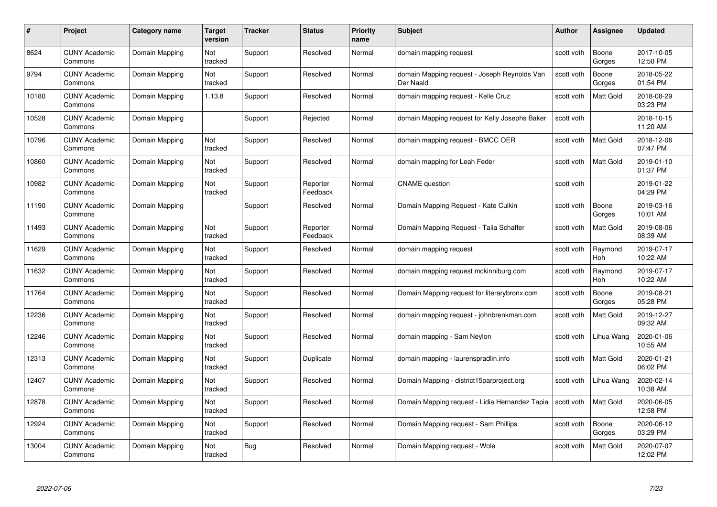| #     | Project                         | <b>Category name</b> | Target<br>version | <b>Tracker</b> | <b>Status</b>        | <b>Priority</b><br>name | <b>Subject</b>                                            | <b>Author</b> | <b>Assignee</b>       | <b>Updated</b>         |
|-------|---------------------------------|----------------------|-------------------|----------------|----------------------|-------------------------|-----------------------------------------------------------|---------------|-----------------------|------------------------|
| 8624  | <b>CUNY Academic</b><br>Commons | Domain Mapping       | Not<br>tracked    | Support        | Resolved             | Normal                  | domain mapping request                                    | scott voth    | Boone<br>Gorges       | 2017-10-05<br>12:50 PM |
| 9794  | <b>CUNY Academic</b><br>Commons | Domain Mapping       | Not<br>tracked    | Support        | Resolved             | Normal                  | domain Mapping request - Joseph Reynolds Van<br>Der Naald | scott voth    | Boone<br>Gorges       | 2018-05-22<br>01:54 PM |
| 10180 | <b>CUNY Academic</b><br>Commons | Domain Mapping       | 1.13.8            | Support        | Resolved             | Normal                  | domain mapping request - Kelle Cruz                       | scott voth    | <b>Matt Gold</b>      | 2018-08-29<br>03:23 PM |
| 10528 | <b>CUNY Academic</b><br>Commons | Domain Mapping       |                   | Support        | Rejected             | Normal                  | domain Mapping request for Kelly Josephs Baker            | scott voth    |                       | 2018-10-15<br>11:20 AM |
| 10796 | CUNY Academic<br>Commons        | Domain Mapping       | Not<br>tracked    | Support        | Resolved             | Normal                  | domain mapping request - BMCC OER                         | scott voth    | <b>Matt Gold</b>      | 2018-12-06<br>07:47 PM |
| 10860 | <b>CUNY Academic</b><br>Commons | Domain Mapping       | Not<br>tracked    | Support        | Resolved             | Normal                  | domain mapping for Leah Feder                             | scott voth    | Matt Gold             | 2019-01-10<br>01:37 PM |
| 10982 | <b>CUNY Academic</b><br>Commons | Domain Mapping       | Not<br>tracked    | Support        | Reporter<br>Feedback | Normal                  | <b>CNAME</b> question                                     | scott voth    |                       | 2019-01-22<br>04:29 PM |
| 11190 | <b>CUNY Academic</b><br>Commons | Domain Mapping       |                   | Support        | Resolved             | Normal                  | Domain Mapping Request - Kate Culkin                      | scott voth    | Boone<br>Gorges       | 2019-03-16<br>10:01 AM |
| 11493 | <b>CUNY Academic</b><br>Commons | Domain Mapping       | Not<br>tracked    | Support        | Reporter<br>Feedback | Normal                  | Domain Mapping Request - Talia Schaffer                   | scott voth    | Matt Gold             | 2019-08-06<br>08:39 AM |
| 11629 | <b>CUNY Academic</b><br>Commons | Domain Mapping       | Not<br>tracked    | Support        | Resolved             | Normal                  | domain mapping request                                    | scott voth    | Raymond<br><b>Hoh</b> | 2019-07-17<br>10:22 AM |
| 11632 | CUNY Academic<br>Commons        | Domain Mapping       | Not<br>tracked    | Support        | Resolved             | Normal                  | domain mapping request mckinniburg.com                    | scott voth    | Raymond<br>Hoh        | 2019-07-17<br>10:22 AM |
| 11764 | <b>CUNY Academic</b><br>Commons | Domain Mapping       | Not<br>tracked    | Support        | Resolved             | Normal                  | Domain Mapping request for literarybronx.com              | scott voth    | Boone<br>Gorges       | 2019-08-21<br>05:28 PM |
| 12236 | <b>CUNY Academic</b><br>Commons | Domain Mapping       | Not<br>tracked    | Support        | Resolved             | Normal                  | domain mapping request - johnbrenkman.com                 | scott voth    | Matt Gold             | 2019-12-27<br>09:32 AM |
| 12246 | <b>CUNY Academic</b><br>Commons | Domain Mapping       | Not<br>tracked    | Support        | Resolved             | Normal                  | domain mapping - Sam Neylon                               | scott voth    | Lihua Wang            | 2020-01-06<br>10:55 AM |
| 12313 | <b>CUNY Academic</b><br>Commons | Domain Mapping       | Not<br>tracked    | Support        | Duplicate            | Normal                  | domain mapping - laurenspradlin.info                      | scott voth    | Matt Gold             | 2020-01-21<br>06:02 PM |
| 12407 | <b>CUNY Academic</b><br>Commons | Domain Mapping       | Not<br>tracked    | Support        | Resolved             | Normal                  | Domain Mapping - district15parproject.org                 | scott voth    | Lihua Wang            | 2020-02-14<br>10:38 AM |
| 12878 | <b>CUNY Academic</b><br>Commons | Domain Mapping       | Not<br>tracked    | Support        | Resolved             | Normal                  | Domain Mapping request - Lidia Hernandez Tapia            | scott voth    | Matt Gold             | 2020-06-05<br>12:58 PM |
| 12924 | <b>CUNY Academic</b><br>Commons | Domain Mapping       | Not<br>tracked    | Support        | Resolved             | Normal                  | Domain Mapping request - Sam Phillips                     | scott voth    | Boone<br>Gorges       | 2020-06-12<br>03:29 PM |
| 13004 | CUNY Academic<br>Commons        | Domain Mapping       | Not<br>tracked    | Bug            | Resolved             | Normal                  | Domain Mapping request - Wole                             | scott voth    | Matt Gold             | 2020-07-07<br>12:02 PM |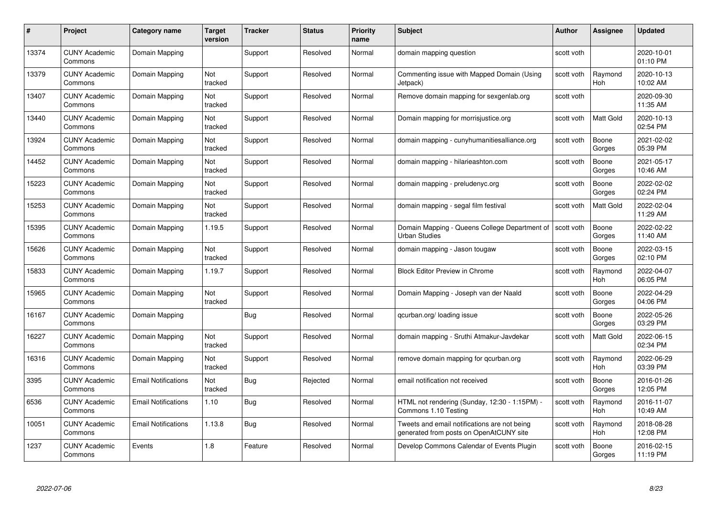| #     | Project                         | Category name              | Target<br>version | <b>Tracker</b> | <b>Status</b> | <b>Priority</b><br>name | <b>Subject</b>                                                                          | <b>Author</b> | <b>Assignee</b>       | <b>Updated</b>         |
|-------|---------------------------------|----------------------------|-------------------|----------------|---------------|-------------------------|-----------------------------------------------------------------------------------------|---------------|-----------------------|------------------------|
| 13374 | <b>CUNY Academic</b><br>Commons | Domain Mapping             |                   | Support        | Resolved      | Normal                  | domain mapping question                                                                 | scott voth    |                       | 2020-10-01<br>01:10 PM |
| 13379 | <b>CUNY Academic</b><br>Commons | Domain Mapping             | Not<br>tracked    | Support        | Resolved      | Normal                  | Commenting issue with Mapped Domain (Using<br>Jetpack)                                  | scott voth    | Raymond<br><b>Hoh</b> | 2020-10-13<br>10:02 AM |
| 13407 | <b>CUNY Academic</b><br>Commons | Domain Mapping             | Not<br>tracked    | Support        | Resolved      | Normal                  | Remove domain mapping for sexgenlab.org                                                 | scott voth    |                       | 2020-09-30<br>11:35 AM |
| 13440 | <b>CUNY Academic</b><br>Commons | Domain Mapping             | Not<br>tracked    | Support        | Resolved      | Normal                  | Domain mapping for morrisjustice.org                                                    | scott voth    | Matt Gold             | 2020-10-13<br>02:54 PM |
| 13924 | <b>CUNY Academic</b><br>Commons | Domain Mapping             | Not<br>tracked    | Support        | Resolved      | Normal                  | domain mapping - cunyhumanitiesalliance.org                                             | scott voth    | Boone<br>Gorges       | 2021-02-02<br>05:39 PM |
| 14452 | <b>CUNY Academic</b><br>Commons | Domain Mapping             | Not<br>tracked    | Support        | Resolved      | Normal                  | domain mapping - hilarieashton.com                                                      | scott voth    | Boone<br>Gorges       | 2021-05-17<br>10:46 AM |
| 15223 | <b>CUNY Academic</b><br>Commons | Domain Mapping             | Not<br>tracked    | Support        | Resolved      | Normal                  | domain mapping - preludenyc.org                                                         | scott voth    | Boone<br>Gorges       | 2022-02-02<br>02:24 PM |
| 15253 | <b>CUNY Academic</b><br>Commons | Domain Mapping             | Not<br>tracked    | Support        | Resolved      | Normal                  | domain mapping - segal film festival                                                    | scott voth    | Matt Gold             | 2022-02-04<br>11:29 AM |
| 15395 | <b>CUNY Academic</b><br>Commons | Domain Mapping             | 1.19.5            | Support        | Resolved      | Normal                  | Domain Mapping - Queens College Department of<br><b>Urban Studies</b>                   | scott voth    | Boone<br>Gorges       | 2022-02-22<br>11:40 AM |
| 15626 | <b>CUNY Academic</b><br>Commons | Domain Mapping             | Not<br>tracked    | Support        | Resolved      | Normal                  | domain mapping - Jason tougaw                                                           | scott voth    | Boone<br>Gorges       | 2022-03-15<br>02:10 PM |
| 15833 | <b>CUNY Academic</b><br>Commons | Domain Mapping             | 1.19.7            | Support        | Resolved      | Normal                  | <b>Block Editor Preview in Chrome</b>                                                   | scott voth    | Raymond<br>Hoh        | 2022-04-07<br>06:05 PM |
| 15965 | <b>CUNY Academic</b><br>Commons | Domain Mapping             | Not<br>tracked    | Support        | Resolved      | Normal                  | Domain Mapping - Joseph van der Naald                                                   | scott voth    | Boone<br>Gorges       | 2022-04-29<br>04:06 PM |
| 16167 | <b>CUNY Academic</b><br>Commons | Domain Mapping             |                   | <b>Bug</b>     | Resolved      | Normal                  | qcurban.org/loading issue                                                               | scott voth    | Boone<br>Gorges       | 2022-05-26<br>03:29 PM |
| 16227 | <b>CUNY Academic</b><br>Commons | Domain Mapping             | Not<br>tracked    | Support        | Resolved      | Normal                  | domain mapping - Sruthi Atmakur-Javdekar                                                | scott voth    | Matt Gold             | 2022-06-15<br>02:34 PM |
| 16316 | <b>CUNY Academic</b><br>Commons | Domain Mapping             | Not<br>tracked    | Support        | Resolved      | Normal                  | remove domain mapping for gcurban.org                                                   | scott voth    | Raymond<br><b>Hoh</b> | 2022-06-29<br>03:39 PM |
| 3395  | <b>CUNY Academic</b><br>Commons | <b>Email Notifications</b> | Not<br>tracked    | <b>Bug</b>     | Rejected      | Normal                  | email notification not received                                                         | scott voth    | Boone<br>Gorges       | 2016-01-26<br>12:05 PM |
| 6536  | <b>CUNY Academic</b><br>Commons | <b>Email Notifications</b> | 1.10              | Bug            | Resolved      | Normal                  | HTML not rendering (Sunday, 12:30 - 1:15PM) -<br>Commons 1.10 Testing                   | scott voth    | Raymond<br>Hoh        | 2016-11-07<br>10:49 AM |
| 10051 | <b>CUNY Academic</b><br>Commons | <b>Email Notifications</b> | 1.13.8            | Bug            | Resolved      | Normal                  | Tweets and email notifications are not being<br>generated from posts on OpenAtCUNY site | scott voth    | Raymond<br>Hoh        | 2018-08-28<br>12:08 PM |
| 1237  | <b>CUNY Academic</b><br>Commons | Events                     | 1.8               | Feature        | Resolved      | Normal                  | Develop Commons Calendar of Events Plugin                                               | scott voth    | Boone<br>Gorges       | 2016-02-15<br>11:19 PM |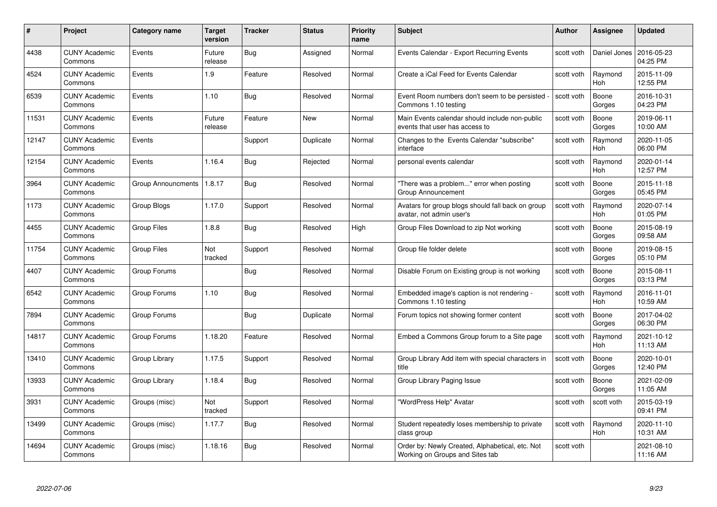| #     | Project                         | <b>Category name</b>      | <b>Target</b><br>version | <b>Tracker</b> | <b>Status</b> | <b>Priority</b><br>name | <b>Subject</b>                                                                     | <b>Author</b> | <b>Assignee</b>       | <b>Updated</b>         |
|-------|---------------------------------|---------------------------|--------------------------|----------------|---------------|-------------------------|------------------------------------------------------------------------------------|---------------|-----------------------|------------------------|
| 4438  | <b>CUNY Academic</b><br>Commons | Events                    | Future<br>release        | Bug            | Assigned      | Normal                  | Events Calendar - Export Recurring Events                                          | scott voth    | Daniel Jones          | 2016-05-23<br>04:25 PM |
| 4524  | <b>CUNY Academic</b><br>Commons | Events                    | 1.9                      | Feature        | Resolved      | Normal                  | Create a iCal Feed for Events Calendar                                             | scott voth    | Raymond<br><b>Hoh</b> | 2015-11-09<br>12:55 PM |
| 6539  | <b>CUNY Academic</b><br>Commons | Events                    | 1.10                     | Bug            | Resolved      | Normal                  | Event Room numbers don't seem to be persisted<br>Commons 1.10 testing              | scott voth    | Boone<br>Gorges       | 2016-10-31<br>04:23 PM |
| 11531 | <b>CUNY Academic</b><br>Commons | Events                    | Future<br>release        | Feature        | <b>New</b>    | Normal                  | Main Events calendar should include non-public<br>events that user has access to   | scott voth    | Boone<br>Gorges       | 2019-06-11<br>10:00 AM |
| 12147 | <b>CUNY Academic</b><br>Commons | Events                    |                          | Support        | Duplicate     | Normal                  | Changes to the Events Calendar "subscribe"<br>interface                            | scott voth    | Raymond<br><b>Hoh</b> | 2020-11-05<br>06:00 PM |
| 12154 | <b>CUNY Academic</b><br>Commons | Events                    | 1.16.4                   | <b>Bug</b>     | Rejected      | Normal                  | personal events calendar                                                           | scott voth    | Raymond<br>Hoh        | 2020-01-14<br>12:57 PM |
| 3964  | <b>CUNY Academic</b><br>Commons | <b>Group Announcments</b> | 1.8.17                   | <b>Bug</b>     | Resolved      | Normal                  | 'There was a problem" error when posting<br>Group Announcement                     | scott voth    | Boone<br>Gorges       | 2015-11-18<br>05:45 PM |
| 1173  | <b>CUNY Academic</b><br>Commons | Group Blogs               | 1.17.0                   | Support        | Resolved      | Normal                  | Avatars for group blogs should fall back on group<br>avatar, not admin user's      | scott voth    | Raymond<br><b>Hoh</b> | 2020-07-14<br>01:05 PM |
| 4455  | <b>CUNY Academic</b><br>Commons | <b>Group Files</b>        | 1.8.8                    | Bug            | Resolved      | High                    | Group Files Download to zip Not working                                            | scott voth    | Boone<br>Gorges       | 2015-08-19<br>09:58 AM |
| 11754 | <b>CUNY Academic</b><br>Commons | <b>Group Files</b>        | Not<br>tracked           | Support        | Resolved      | Normal                  | Group file folder delete                                                           | scott voth    | Boone<br>Gorges       | 2019-08-15<br>05:10 PM |
| 4407  | CUNY Academic<br>Commons        | Group Forums              |                          | Bug            | Resolved      | Normal                  | Disable Forum on Existing group is not working                                     | scott voth    | Boone<br>Gorges       | 2015-08-11<br>03:13 PM |
| 6542  | <b>CUNY Academic</b><br>Commons | Group Forums              | 1.10                     | <b>Bug</b>     | Resolved      | Normal                  | Embedded image's caption is not rendering -<br>Commons 1.10 testing                | scott voth    | Raymond<br><b>Hoh</b> | 2016-11-01<br>10:59 AM |
| 7894  | <b>CUNY Academic</b><br>Commons | Group Forums              |                          | Bug            | Duplicate     | Normal                  | Forum topics not showing former content                                            | scott voth    | Boone<br>Gorges       | 2017-04-02<br>06:30 PM |
| 14817 | <b>CUNY Academic</b><br>Commons | Group Forums              | 1.18.20                  | Feature        | Resolved      | Normal                  | Embed a Commons Group forum to a Site page                                         | scott voth    | Raymond<br><b>Hoh</b> | 2021-10-12<br>11:13 AM |
| 13410 | <b>CUNY Academic</b><br>Commons | Group Library             | 1.17.5                   | Support        | Resolved      | Normal                  | Group Library Add item with special characters in<br>title                         | scott voth    | Boone<br>Gorges       | 2020-10-01<br>12:40 PM |
| 13933 | <b>CUNY Academic</b><br>Commons | Group Library             | 1.18.4                   | <b>Bug</b>     | Resolved      | Normal                  | Group Library Paging Issue                                                         | scott voth    | Boone<br>Gorges       | 2021-02-09<br>11:05 AM |
| 3931  | <b>CUNY Academic</b><br>Commons | Groups (misc)             | Not<br>tracked           | Support        | Resolved      | Normal                  | "WordPress Help" Avatar                                                            | scott voth    | scott voth            | 2015-03-19<br>09:41 PM |
| 13499 | <b>CUNY Academic</b><br>Commons | Groups (misc)             | 1.17.7                   | <b>Bug</b>     | Resolved      | Normal                  | Student repeatedly loses membership to private<br>class group                      | scott voth    | Raymond<br>Hoh        | 2020-11-10<br>10:31 AM |
| 14694 | <b>CUNY Academic</b><br>Commons | Groups (misc)             | 1.18.16                  | Bug            | Resolved      | Normal                  | Order by: Newly Created, Alphabetical, etc. Not<br>Working on Groups and Sites tab | scott voth    |                       | 2021-08-10<br>11:16 AM |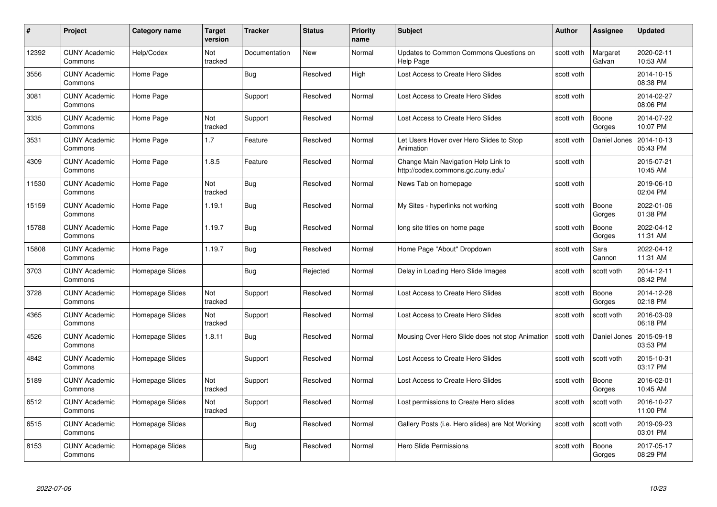| #     | Project                         | Category name   | Target<br>version | <b>Tracker</b> | <b>Status</b> | <b>Priority</b><br>name | <b>Subject</b>                                                           | Author     | <b>Assignee</b>    | <b>Updated</b>         |
|-------|---------------------------------|-----------------|-------------------|----------------|---------------|-------------------------|--------------------------------------------------------------------------|------------|--------------------|------------------------|
| 12392 | <b>CUNY Academic</b><br>Commons | Help/Codex      | Not<br>tracked    | Documentation  | New           | Normal                  | Updates to Common Commons Questions on<br>Help Page                      | scott voth | Margaret<br>Galvan | 2020-02-11<br>10:53 AM |
| 3556  | <b>CUNY Academic</b><br>Commons | Home Page       |                   | <b>Bug</b>     | Resolved      | High                    | Lost Access to Create Hero Slides                                        | scott voth |                    | 2014-10-15<br>08:38 PM |
| 3081  | <b>CUNY Academic</b><br>Commons | Home Page       |                   | Support        | Resolved      | Normal                  | Lost Access to Create Hero Slides                                        | scott voth |                    | 2014-02-27<br>08:06 PM |
| 3335  | <b>CUNY Academic</b><br>Commons | Home Page       | Not<br>tracked    | Support        | Resolved      | Normal                  | Lost Access to Create Hero Slides                                        | scott voth | Boone<br>Gorges    | 2014-07-22<br>10:07 PM |
| 3531  | <b>CUNY Academic</b><br>Commons | Home Page       | 1.7               | Feature        | Resolved      | Normal                  | Let Users Hover over Hero Slides to Stop<br>Animation                    | scott voth | Daniel Jones       | 2014-10-13<br>05:43 PM |
| 4309  | <b>CUNY Academic</b><br>Commons | Home Page       | 1.8.5             | Feature        | Resolved      | Normal                  | Change Main Navigation Help Link to<br>http://codex.commons.gc.cuny.edu/ | scott voth |                    | 2015-07-21<br>10:45 AM |
| 11530 | <b>CUNY Academic</b><br>Commons | Home Page       | Not<br>tracked    | Bug            | Resolved      | Normal                  | News Tab on homepage                                                     | scott voth |                    | 2019-06-10<br>02:04 PM |
| 15159 | <b>CUNY Academic</b><br>Commons | Home Page       | 1.19.1            | Bug            | Resolved      | Normal                  | My Sites - hyperlinks not working                                        | scott voth | Boone<br>Gorges    | 2022-01-06<br>01:38 PM |
| 15788 | <b>CUNY Academic</b><br>Commons | Home Page       | 1.19.7            | <b>Bug</b>     | Resolved      | Normal                  | long site titles on home page                                            | scott voth | Boone<br>Gorges    | 2022-04-12<br>11:31 AM |
| 15808 | <b>CUNY Academic</b><br>Commons | Home Page       | 1.19.7            | <b>Bug</b>     | Resolved      | Normal                  | Home Page "About" Dropdown                                               | scott voth | Sara<br>Cannon     | 2022-04-12<br>11:31 AM |
| 3703  | <b>CUNY Academic</b><br>Commons | Homepage Slides |                   | Bug            | Rejected      | Normal                  | Delay in Loading Hero Slide Images                                       | scott voth | scott voth         | 2014-12-11<br>08:42 PM |
| 3728  | <b>CUNY Academic</b><br>Commons | Homepage Slides | Not<br>tracked    | Support        | Resolved      | Normal                  | Lost Access to Create Hero Slides                                        | scott voth | Boone<br>Gorges    | 2014-12-28<br>02:18 PM |
| 4365  | <b>CUNY Academic</b><br>Commons | Homepage Slides | Not<br>tracked    | Support        | Resolved      | Normal                  | Lost Access to Create Hero Slides                                        | scott voth | scott voth         | 2016-03-09<br>06:18 PM |
| 4526  | <b>CUNY Academic</b><br>Commons | Homepage Slides | 1.8.11            | <b>Bug</b>     | Resolved      | Normal                  | Mousing Over Hero Slide does not stop Animation                          | scott voth | Daniel Jones       | 2015-09-18<br>03:53 PM |
| 4842  | <b>CUNY Academic</b><br>Commons | Homepage Slides |                   | Support        | Resolved      | Normal                  | Lost Access to Create Hero Slides                                        | scott voth | scott voth         | 2015-10-31<br>03:17 PM |
| 5189  | <b>CUNY Academic</b><br>Commons | Homepage Slides | Not<br>tracked    | Support        | Resolved      | Normal                  | Lost Access to Create Hero Slides                                        | scott voth | Boone<br>Gorges    | 2016-02-01<br>10:45 AM |
| 6512  | <b>CUNY Academic</b><br>Commons | Homepage Slides | Not<br>tracked    | Support        | Resolved      | Normal                  | Lost permissions to Create Hero slides                                   | scott voth | scott voth         | 2016-10-27<br>11:00 PM |
| 6515  | <b>CUNY Academic</b><br>Commons | Homepage Slides |                   | <b>Bug</b>     | Resolved      | Normal                  | Gallery Posts (i.e. Hero slides) are Not Working                         | scott voth | scott voth         | 2019-09-23<br>03:01 PM |
| 8153  | <b>CUNY Academic</b><br>Commons | Homepage Slides |                   | <b>Bug</b>     | Resolved      | Normal                  | Hero Slide Permissions                                                   | scott voth | Boone<br>Gorges    | 2017-05-17<br>08:29 PM |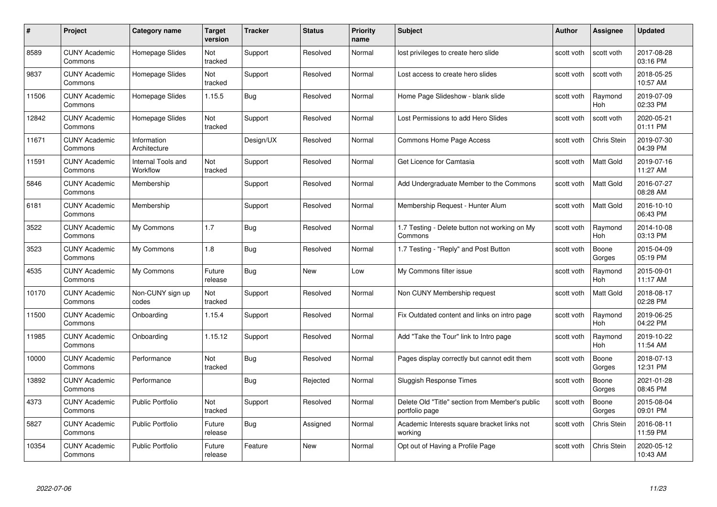| #     | Project                         | <b>Category name</b>           | Target<br>version | <b>Tracker</b> | <b>Status</b> | <b>Priority</b><br>name | <b>Subject</b>                                                    | <b>Author</b> | <b>Assignee</b>    | <b>Updated</b>         |
|-------|---------------------------------|--------------------------------|-------------------|----------------|---------------|-------------------------|-------------------------------------------------------------------|---------------|--------------------|------------------------|
| 8589  | <b>CUNY Academic</b><br>Commons | Homepage Slides                | Not<br>tracked    | Support        | Resolved      | Normal                  | lost privileges to create hero slide                              | scott voth    | scott voth         | 2017-08-28<br>03:16 PM |
| 9837  | <b>CUNY Academic</b><br>Commons | Homepage Slides                | Not<br>tracked    | Support        | Resolved      | Normal                  | Lost access to create hero slides                                 | scott voth    | scott voth         | 2018-05-25<br>10:57 AM |
| 11506 | <b>CUNY Academic</b><br>Commons | Homepage Slides                | 1.15.5            | <b>Bug</b>     | Resolved      | Normal                  | Home Page Slideshow - blank slide                                 | scott voth    | Raymond<br>Hoh     | 2019-07-09<br>02:33 PM |
| 12842 | <b>CUNY Academic</b><br>Commons | Homepage Slides                | Not<br>tracked    | Support        | Resolved      | Normal                  | Lost Permissions to add Hero Slides                               | scott voth    | scott voth         | 2020-05-21<br>01:11 PM |
| 11671 | <b>CUNY Academic</b><br>Commons | Information<br>Architecture    |                   | Design/UX      | Resolved      | Normal                  | Commons Home Page Access                                          | scott voth    | Chris Stein        | 2019-07-30<br>04:39 PM |
| 11591 | <b>CUNY Academic</b><br>Commons | Internal Tools and<br>Workflow | Not<br>tracked    | Support        | Resolved      | Normal                  | Get Licence for Camtasia                                          | scott voth    | Matt Gold          | 2019-07-16<br>11:27 AM |
| 5846  | <b>CUNY Academic</b><br>Commons | Membership                     |                   | Support        | Resolved      | Normal                  | Add Undergraduate Member to the Commons                           | scott voth    | Matt Gold          | 2016-07-27<br>08:28 AM |
| 6181  | <b>CUNY Academic</b><br>Commons | Membership                     |                   | Support        | Resolved      | Normal                  | Membership Request - Hunter Alum                                  | scott voth    | Matt Gold          | 2016-10-10<br>06:43 PM |
| 3522  | <b>CUNY Academic</b><br>Commons | My Commons                     | 1.7               | Bug            | Resolved      | Normal                  | 1.7 Testing - Delete button not working on My<br>Commons          | scott voth    | Raymond<br>Hoh     | 2014-10-08<br>03:13 PM |
| 3523  | <b>CUNY Academic</b><br>Commons | My Commons                     | 1.8               | Bug            | Resolved      | Normal                  | 1.7 Testing - "Reply" and Post Button                             | scott voth    | Boone<br>Gorges    | 2015-04-09<br>05:19 PM |
| 4535  | CUNY Academic<br>Commons        | My Commons                     | Future<br>release | Bug            | New           | Low                     | My Commons filter issue                                           | scott voth    | Raymond<br>Hoh     | 2015-09-01<br>11:17 AM |
| 10170 | <b>CUNY Academic</b><br>Commons | Non-CUNY sign up<br>codes      | Not<br>tracked    | Support        | Resolved      | Normal                  | Non CUNY Membership request                                       | scott voth    | Matt Gold          | 2018-08-17<br>02:28 PM |
| 11500 | <b>CUNY Academic</b><br>Commons | Onboarding                     | 1.15.4            | Support        | Resolved      | Normal                  | Fix Outdated content and links on intro page                      | scott voth    | Raymond<br>Hoh     | 2019-06-25<br>04:22 PM |
| 11985 | <b>CUNY Academic</b><br>Commons | Onboarding                     | 1.15.12           | Support        | Resolved      | Normal                  | Add "Take the Tour" link to Intro page                            | scott voth    | Raymond<br>Hoh     | 2019-10-22<br>11:54 AM |
| 10000 | <b>CUNY Academic</b><br>Commons | Performance                    | Not<br>tracked    | Bug            | Resolved      | Normal                  | Pages display correctly but cannot edit them                      | scott voth    | Boone<br>Gorges    | 2018-07-13<br>12:31 PM |
| 13892 | <b>CUNY Academic</b><br>Commons | Performance                    |                   | Bug            | Rejected      | Normal                  | <b>Sluggish Response Times</b>                                    | scott voth    | Boone<br>Gorges    | 2021-01-28<br>08:45 PM |
| 4373  | <b>CUNY Academic</b><br>Commons | <b>Public Portfolio</b>        | Not<br>tracked    | Support        | Resolved      | Normal                  | Delete Old "Title" section from Member's public<br>portfolio page | scott voth    | Boone<br>Gorges    | 2015-08-04<br>09:01 PM |
| 5827  | <b>CUNY Academic</b><br>Commons | <b>Public Portfolio</b>        | Future<br>release | <b>Bug</b>     | Assigned      | Normal                  | Academic Interests square bracket links not<br>working            | scott voth    | Chris Stein        | 2016-08-11<br>11:59 PM |
| 10354 | CUNY Academic<br>Commons        | <b>Public Portfolio</b>        | Future<br>release | Feature        | <b>New</b>    | Normal                  | Opt out of Having a Profile Page                                  | scott voth    | <b>Chris Stein</b> | 2020-05-12<br>10:43 AM |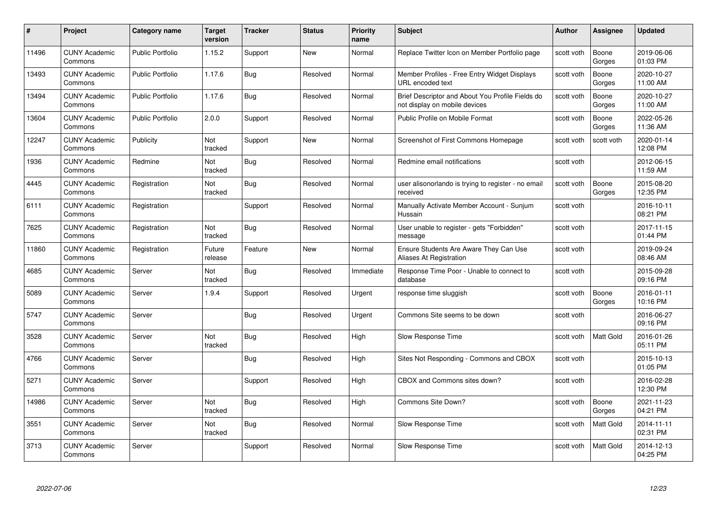| #     | Project                         | <b>Category name</b>    | <b>Target</b><br>version | <b>Tracker</b> | <b>Status</b> | <b>Priority</b><br>name | <b>Subject</b>                                                                    | <b>Author</b> | <b>Assignee</b> | <b>Updated</b>         |
|-------|---------------------------------|-------------------------|--------------------------|----------------|---------------|-------------------------|-----------------------------------------------------------------------------------|---------------|-----------------|------------------------|
| 11496 | <b>CUNY Academic</b><br>Commons | <b>Public Portfolio</b> | 1.15.2                   | Support        | <b>New</b>    | Normal                  | Replace Twitter Icon on Member Portfolio page                                     | scott voth    | Boone<br>Gorges | 2019-06-06<br>01:03 PM |
| 13493 | <b>CUNY Academic</b><br>Commons | <b>Public Portfolio</b> | 1.17.6                   | Bug            | Resolved      | Normal                  | Member Profiles - Free Entry Widget Displays<br>URL encoded text                  | scott voth    | Boone<br>Gorges | 2020-10-27<br>11:00 AM |
| 13494 | <b>CUNY Academic</b><br>Commons | <b>Public Portfolio</b> | 1.17.6                   | <b>Bug</b>     | Resolved      | Normal                  | Brief Descriptor and About You Profile Fields do<br>not display on mobile devices | scott voth    | Boone<br>Gorges | 2020-10-27<br>11:00 AM |
| 13604 | <b>CUNY Academic</b><br>Commons | Public Portfolio        | 2.0.0                    | Support        | Resolved      | Normal                  | Public Profile on Mobile Format                                                   | scott voth    | Boone<br>Gorges | 2022-05-26<br>11:36 AM |
| 12247 | <b>CUNY Academic</b><br>Commons | Publicity               | Not<br>tracked           | Support        | New           | Normal                  | Screenshot of First Commons Homepage                                              | scott voth    | scott voth      | 2020-01-14<br>12:08 PM |
| 1936  | <b>CUNY Academic</b><br>Commons | Redmine                 | Not<br>tracked           | Bug            | Resolved      | Normal                  | Redmine email notifications                                                       | scott voth    |                 | 2012-06-15<br>11:59 AM |
| 4445  | <b>CUNY Academic</b><br>Commons | Registration            | Not<br>tracked           | <b>Bug</b>     | Resolved      | Normal                  | user alisonorlando is trying to register - no email<br>received                   | scott voth    | Boone<br>Gorges | 2015-08-20<br>12:35 PM |
| 6111  | <b>CUNY Academic</b><br>Commons | Registration            |                          | Support        | Resolved      | Normal                  | Manually Activate Member Account - Sunjum<br>Hussain                              | scott voth    |                 | 2016-10-11<br>08:21 PM |
| 7625  | <b>CUNY Academic</b><br>Commons | Registration            | Not<br>tracked           | <b>Bug</b>     | Resolved      | Normal                  | User unable to register - gets "Forbidden"<br>message                             | scott voth    |                 | 2017-11-15<br>01:44 PM |
| 11860 | <b>CUNY Academic</b><br>Commons | Registration            | Future<br>release        | Feature        | New           | Normal                  | Ensure Students Are Aware They Can Use<br>Aliases At Registration                 | scott voth    |                 | 2019-09-24<br>08:46 AM |
| 4685  | <b>CUNY Academic</b><br>Commons | Server                  | Not<br>tracked           | <b>Bug</b>     | Resolved      | Immediate               | Response Time Poor - Unable to connect to<br>database                             | scott voth    |                 | 2015-09-28<br>09:16 PM |
| 5089  | <b>CUNY Academic</b><br>Commons | Server                  | 1.9.4                    | Support        | Resolved      | Urgent                  | response time sluggish                                                            | scott voth    | Boone<br>Gorges | 2016-01-11<br>10:16 PM |
| 5747  | <b>CUNY Academic</b><br>Commons | Server                  |                          | <b>Bug</b>     | Resolved      | Urgent                  | Commons Site seems to be down                                                     | scott voth    |                 | 2016-06-27<br>09:16 PM |
| 3528  | <b>CUNY Academic</b><br>Commons | Server                  | Not<br>tracked           | <b>Bug</b>     | Resolved      | High                    | Slow Response Time                                                                | scott voth    | Matt Gold       | 2016-01-26<br>05:11 PM |
| 4766  | <b>CUNY Academic</b><br>Commons | Server                  |                          | Bug            | Resolved      | High                    | Sites Not Responding - Commons and CBOX                                           | scott voth    |                 | 2015-10-13<br>01:05 PM |
| 5271  | <b>CUNY Academic</b><br>Commons | Server                  |                          | Support        | Resolved      | High                    | CBOX and Commons sites down?                                                      | scott voth    |                 | 2016-02-28<br>12:30 PM |
| 14986 | <b>CUNY Academic</b><br>Commons | Server                  | Not<br>tracked           | Bug            | Resolved      | High                    | Commons Site Down?                                                                | scott voth    | Boone<br>Gorges | 2021-11-23<br>04:21 PM |
| 3551  | <b>CUNY Academic</b><br>Commons | Server                  | Not<br>tracked           | <b>Bug</b>     | Resolved      | Normal                  | Slow Response Time                                                                | scott voth    | Matt Gold       | 2014-11-11<br>02:31 PM |
| 3713  | <b>CUNY Academic</b><br>Commons | Server                  |                          | Support        | Resolved      | Normal                  | Slow Response Time                                                                | scott voth    | Matt Gold       | 2014-12-13<br>04:25 PM |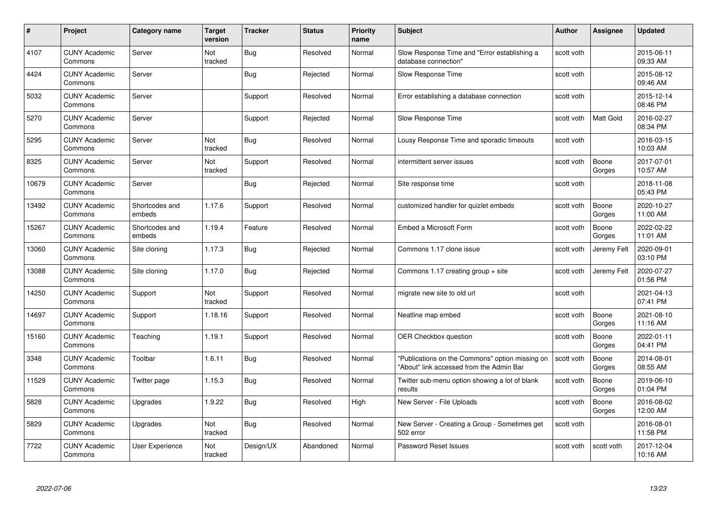| #     | Project                         | <b>Category name</b>     | <b>Target</b><br>version | <b>Tracker</b> | <b>Status</b> | <b>Priority</b><br>name | <b>Subject</b>                                                                              | <b>Author</b> | Assignee         | <b>Updated</b>         |
|-------|---------------------------------|--------------------------|--------------------------|----------------|---------------|-------------------------|---------------------------------------------------------------------------------------------|---------------|------------------|------------------------|
| 4107  | <b>CUNY Academic</b><br>Commons | Server                   | Not<br>tracked           | Bug            | Resolved      | Normal                  | Slow Response Time and "Error establishing a<br>database connection"                        | scott voth    |                  | 2015-06-11<br>09:33 AM |
| 4424  | <b>CUNY Academic</b><br>Commons | Server                   |                          | Bug            | Rejected      | Normal                  | Slow Response Time                                                                          | scott voth    |                  | 2015-08-12<br>09:46 AM |
| 5032  | <b>CUNY Academic</b><br>Commons | Server                   |                          | Support        | Resolved      | Normal                  | Error establishing a database connection                                                    | scott voth    |                  | 2015-12-14<br>08:46 PM |
| 5270  | <b>CUNY Academic</b><br>Commons | Server                   |                          | Support        | Rejected      | Normal                  | Slow Response Time                                                                          | scott voth    | <b>Matt Gold</b> | 2016-02-27<br>08:34 PM |
| 5295  | <b>CUNY Academic</b><br>Commons | Server                   | Not<br>tracked           | Bug            | Resolved      | Normal                  | Lousy Response Time and sporadic timeouts                                                   | scott voth    |                  | 2016-03-15<br>10:03 AM |
| 8325  | <b>CUNY Academic</b><br>Commons | Server                   | <b>Not</b><br>tracked    | Support        | Resolved      | Normal                  | intermittent server issues                                                                  | scott voth    | Boone<br>Gorges  | 2017-07-01<br>10:57 AM |
| 10679 | <b>CUNY Academic</b><br>Commons | Server                   |                          | Bug            | Rejected      | Normal                  | Site response time                                                                          | scott voth    |                  | 2018-11-08<br>05:43 PM |
| 13492 | <b>CUNY Academic</b><br>Commons | Shortcodes and<br>embeds | 1.17.6                   | Support        | Resolved      | Normal                  | customized handler for quizlet embeds                                                       | scott voth    | Boone<br>Gorges  | 2020-10-27<br>11:00 AM |
| 15267 | <b>CUNY Academic</b><br>Commons | Shortcodes and<br>embeds | 1.19.4                   | Feature        | Resolved      | Normal                  | Embed a Microsoft Form                                                                      | scott voth    | Boone<br>Gorges  | 2022-02-22<br>11:01 AM |
| 13060 | <b>CUNY Academic</b><br>Commons | Site cloning             | 1.17.3                   | Bug            | Rejected      | Normal                  | Commons 1.17 clone issue                                                                    | scott voth    | Jeremy Felt      | 2020-09-01<br>03:10 PM |
| 13088 | <b>CUNY Academic</b><br>Commons | Site cloning             | 1.17.0                   | Bug            | Rejected      | Normal                  | Commons 1.17 creating group $+$ site                                                        | scott voth    | Jeremy Felt      | 2020-07-27<br>01:56 PM |
| 14250 | <b>CUNY Academic</b><br>Commons | Support                  | Not<br>tracked           | Support        | Resolved      | Normal                  | migrate new site to old url                                                                 | scott voth    |                  | 2021-04-13<br>07:41 PM |
| 14697 | <b>CUNY Academic</b><br>Commons | Support                  | 1.18.16                  | Support        | Resolved      | Normal                  | Neatline map embed                                                                          | scott voth    | Boone<br>Gorges  | 2021-08-10<br>11:16 AM |
| 15160 | <b>CUNY Academic</b><br>Commons | Teaching                 | 1.19.1                   | Support        | Resolved      | Normal                  | OER Checkbox question                                                                       | scott voth    | Boone<br>Gorges  | 2022-01-11<br>04:41 PM |
| 3348  | <b>CUNY Academic</b><br>Commons | Toolbar                  | 1.6.11                   | Bug            | Resolved      | Normal                  | "Publications on the Commons" option missing on<br>"About" link accessed from the Admin Bar | scott voth    | Boone<br>Gorges  | 2014-08-01<br>08:55 AM |
| 11529 | <b>CUNY Academic</b><br>Commons | Twitter page             | 1.15.3                   | Bug            | Resolved      | Normal                  | Twitter sub-menu option showing a lot of blank<br>results                                   | scott voth    | Boone<br>Gorges  | 2019-06-10<br>01:04 PM |
| 5828  | <b>CUNY Academic</b><br>Commons | Upgrades                 | 1.9.22                   | Bug            | Resolved      | High                    | New Server - File Uploads                                                                   | scott voth    | Boone<br>Gorges  | 2016-08-02<br>12:00 AM |
| 5829  | <b>CUNY Academic</b><br>Commons | Upgrades                 | Not<br>tracked           | Bug            | Resolved      | Normal                  | New Server - Creating a Group - Sometimes get<br>502 error                                  | scott voth    |                  | 2016-08-01<br>11:58 PM |
| 7722  | CUNY Academic<br>Commons        | User Experience          | Not<br>tracked           | Design/UX      | Abandoned     | Normal                  | Password Reset Issues                                                                       | scott voth    | scott voth       | 2017-12-04<br>10:16 AM |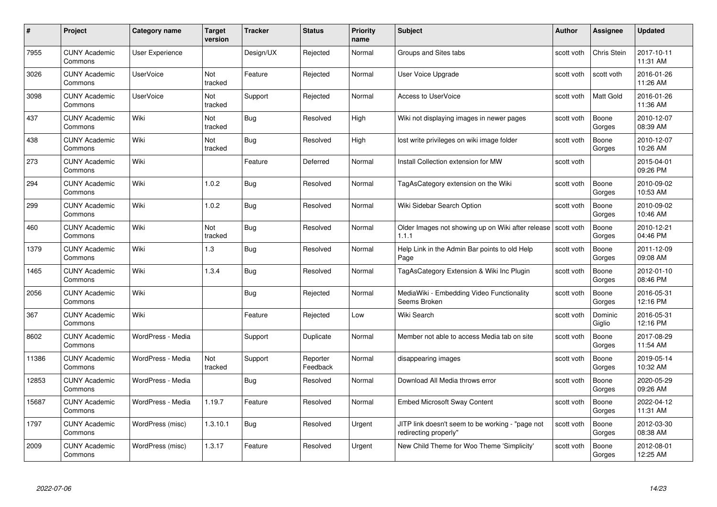| #     | Project                         | <b>Category name</b>   | <b>Target</b><br>version | <b>Tracker</b> | <b>Status</b>        | <b>Priority</b><br>name | <b>Subject</b>                                                            | <b>Author</b> | <b>Assignee</b>   | <b>Updated</b>         |
|-------|---------------------------------|------------------------|--------------------------|----------------|----------------------|-------------------------|---------------------------------------------------------------------------|---------------|-------------------|------------------------|
| 7955  | <b>CUNY Academic</b><br>Commons | <b>User Experience</b> |                          | Design/UX      | Rejected             | Normal                  | Groups and Sites tabs                                                     | scott voth    | Chris Stein       | 2017-10-11<br>11:31 AM |
| 3026  | <b>CUNY Academic</b><br>Commons | <b>UserVoice</b>       | Not<br>tracked           | Feature        | Rejected             | Normal                  | User Voice Upgrade                                                        | scott voth    | scott voth        | 2016-01-26<br>11:26 AM |
| 3098  | <b>CUNY Academic</b><br>Commons | <b>UserVoice</b>       | Not<br>tracked           | Support        | Rejected             | Normal                  | <b>Access to UserVoice</b>                                                | scott voth    | <b>Matt Gold</b>  | 2016-01-26<br>11:36 AM |
| 437   | <b>CUNY Academic</b><br>Commons | Wiki                   | Not<br>tracked           | <b>Bug</b>     | Resolved             | High                    | Wiki not displaying images in newer pages                                 | scott voth    | Boone<br>Gorges   | 2010-12-07<br>08:39 AM |
| 438   | <b>CUNY Academic</b><br>Commons | Wiki                   | Not<br>tracked           | Bug            | Resolved             | High                    | lost write privileges on wiki image folder                                | scott voth    | Boone<br>Gorges   | 2010-12-07<br>10:26 AM |
| 273   | <b>CUNY Academic</b><br>Commons | Wiki                   |                          | Feature        | Deferred             | Normal                  | Install Collection extension for MW                                       | scott voth    |                   | 2015-04-01<br>09:26 PM |
| 294   | <b>CUNY Academic</b><br>Commons | Wiki                   | 1.0.2                    | Bug            | Resolved             | Normal                  | TagAsCategory extension on the Wiki                                       | scott voth    | Boone<br>Gorges   | 2010-09-02<br>10:53 AM |
| 299   | <b>CUNY Academic</b><br>Commons | Wiki                   | 1.0.2                    | Bug            | Resolved             | Normal                  | Wiki Sidebar Search Option                                                | scott voth    | Boone<br>Gorges   | 2010-09-02<br>10:46 AM |
| 460   | <b>CUNY Academic</b><br>Commons | Wiki                   | Not<br>tracked           | Bug            | Resolved             | Normal                  | Older Images not showing up on Wiki after release Scott voth<br>1.1.1     |               | Boone<br>Gorges   | 2010-12-21<br>04:46 PM |
| 1379  | <b>CUNY Academic</b><br>Commons | Wiki                   | 1.3                      | <b>Bug</b>     | Resolved             | Normal                  | Help Link in the Admin Bar points to old Help<br>Page                     | scott voth    | Boone<br>Gorges   | 2011-12-09<br>09:08 AM |
| 1465  | CUNY Academic<br>Commons        | Wiki                   | 1.3.4                    | Bug            | Resolved             | Normal                  | TagAsCategory Extension & Wiki Inc Plugin                                 | scott voth    | Boone<br>Gorges   | 2012-01-10<br>08:46 PM |
| 2056  | <b>CUNY Academic</b><br>Commons | Wiki                   |                          | <b>Bug</b>     | Rejected             | Normal                  | MediaWiki - Embedding Video Functionality<br>Seems Broken                 | scott voth    | Boone<br>Gorges   | 2016-05-31<br>12:16 PM |
| 367   | <b>CUNY Academic</b><br>Commons | Wiki                   |                          | Feature        | Rejected             | Low                     | Wiki Search                                                               | scott voth    | Dominic<br>Giglio | 2016-05-31<br>12:16 PM |
| 8602  | <b>CUNY Academic</b><br>Commons | WordPress - Media      |                          | Support        | Duplicate            | Normal                  | Member not able to access Media tab on site                               | scott voth    | Boone<br>Gorges   | 2017-08-29<br>11:54 AM |
| 11386 | <b>CUNY Academic</b><br>Commons | WordPress - Media      | Not<br>tracked           | Support        | Reporter<br>Feedback | Normal                  | disappearing images                                                       | scott voth    | Boone<br>Gorges   | 2019-05-14<br>10:32 AM |
| 12853 | <b>CUNY Academic</b><br>Commons | WordPress - Media      |                          | Bug            | Resolved             | Normal                  | Download All Media throws error                                           | scott voth    | Boone<br>Gorges   | 2020-05-29<br>09:26 AM |
| 15687 | <b>CUNY Academic</b><br>Commons | WordPress - Media      | 1.19.7                   | Feature        | Resolved             | Normal                  | <b>Embed Microsoft Sway Content</b>                                       | scott voth    | Boone<br>Gorges   | 2022-04-12<br>11:31 AM |
| 1797  | <b>CUNY Academic</b><br>Commons | WordPress (misc)       | 1.3.10.1                 | <b>Bug</b>     | Resolved             | Urgent                  | JITP link doesn't seem to be working - "page not<br>redirecting properly" | scott voth    | Boone<br>Gorges   | 2012-03-30<br>08:38 AM |
| 2009  | CUNY Academic<br>Commons        | WordPress (misc)       | 1.3.17                   | Feature        | Resolved             | Urgent                  | New Child Theme for Woo Theme 'Simplicity'                                | scott voth    | Boone<br>Gorges   | 2012-08-01<br>12:25 AM |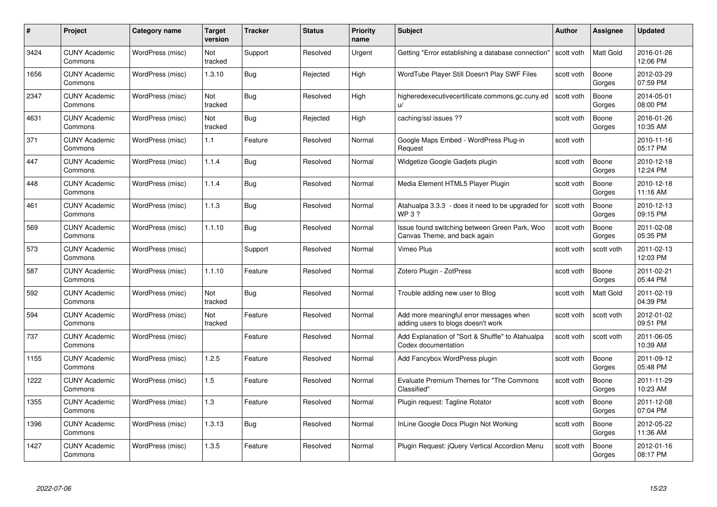| #    | Project                         | <b>Category name</b> | Target<br>version     | <b>Tracker</b> | <b>Status</b> | <b>Priority</b><br>name | <b>Subject</b>                                                                | <b>Author</b> | <b>Assignee</b>  | <b>Updated</b>         |
|------|---------------------------------|----------------------|-----------------------|----------------|---------------|-------------------------|-------------------------------------------------------------------------------|---------------|------------------|------------------------|
| 3424 | <b>CUNY Academic</b><br>Commons | WordPress (misc)     | Not<br>tracked        | Support        | Resolved      | Urgent                  | Getting "Error establishing a database connection"                            | scott voth    | <b>Matt Gold</b> | 2016-01-26<br>12:06 PM |
| 1656 | <b>CUNY Academic</b><br>Commons | WordPress (misc)     | 1.3.10                | Bug            | Rejected      | High                    | WordTube Player Still Doesn't Play SWF Files                                  | scott voth    | Boone<br>Gorges  | 2012-03-29<br>07:59 PM |
| 2347 | <b>CUNY Academic</b><br>Commons | WordPress (misc)     | <b>Not</b><br>tracked | Bug            | Resolved      | High                    | higheredexecutivecertificate.commons.gc.cuny.ed<br>$\mathsf{u}/$              | scott voth    | Boone<br>Gorges  | 2014-05-01<br>08:00 PM |
| 4631 | <b>CUNY Academic</b><br>Commons | WordPress (misc)     | Not<br>tracked        | <b>Bug</b>     | Rejected      | High                    | caching/ssl issues ??                                                         | scott voth    | Boone<br>Gorges  | 2016-01-26<br>10:35 AM |
| 371  | <b>CUNY Academic</b><br>Commons | WordPress (misc)     | 1.1                   | Feature        | Resolved      | Normal                  | Google Maps Embed - WordPress Plug-in<br>Request                              | scott voth    |                  | 2010-11-16<br>05:17 PM |
| 447  | <b>CUNY Academic</b><br>Commons | WordPress (misc)     | 1.1.4                 | Bug            | Resolved      | Normal                  | Widgetize Google Gadjets plugin                                               | scott voth    | Boone<br>Gorges  | 2010-12-18<br>12:24 PM |
| 448  | <b>CUNY Academic</b><br>Commons | WordPress (misc)     | 1.1.4                 | Bug            | Resolved      | Normal                  | Media Element HTML5 Player Plugin                                             | scott voth    | Boone<br>Gorges  | 2010-12-18<br>11:16 AM |
| 461  | <b>CUNY Academic</b><br>Commons | WordPress (misc)     | 1.1.3                 | <b>Bug</b>     | Resolved      | Normal                  | Atahualpa 3.3.3 - does it need to be upgraded for<br>WP 3 ?                   | scott voth    | Boone<br>Gorges  | 2010-12-13<br>09:15 PM |
| 569  | <b>CUNY Academic</b><br>Commons | WordPress (misc)     | 1.1.10                | <b>Bug</b>     | Resolved      | Normal                  | Issue found switching between Green Park, Woo<br>Canvas Theme, and back again | scott voth    | Boone<br>Gorges  | 2011-02-08<br>05:35 PM |
| 573  | <b>CUNY Academic</b><br>Commons | WordPress (misc)     |                       | Support        | Resolved      | Normal                  | Vimeo Plus                                                                    | scott voth    | scott voth       | 2011-02-13<br>12:03 PM |
| 587  | CUNY Academic<br>Commons        | WordPress (misc)     | 1.1.10                | Feature        | Resolved      | Normal                  | Zotero Plugin - ZotPress                                                      | scott voth    | Boone<br>Gorges  | 2011-02-21<br>05:44 PM |
| 592  | <b>CUNY Academic</b><br>Commons | WordPress (misc)     | Not<br>tracked        | <b>Bug</b>     | Resolved      | Normal                  | Trouble adding new user to Blog                                               | scott voth    | <b>Matt Gold</b> | 2011-02-19<br>04:39 PM |
| 594  | <b>CUNY Academic</b><br>Commons | WordPress (misc)     | Not<br>tracked        | Feature        | Resolved      | Normal                  | Add more meaningful error messages when<br>adding users to blogs doesn't work | scott voth    | scott voth       | 2012-01-02<br>09:51 PM |
| 737  | <b>CUNY Academic</b><br>Commons | WordPress (misc)     |                       | Feature        | Resolved      | Normal                  | Add Explanation of "Sort & Shuffle" to Atahualpa<br>Codex documentation       | scott voth    | scott voth       | 2011-06-05<br>10:39 AM |
| 1155 | <b>CUNY Academic</b><br>Commons | WordPress (misc)     | 1.2.5                 | Feature        | Resolved      | Normal                  | Add Fancybox WordPress plugin                                                 | scott voth    | Boone<br>Gorges  | 2011-09-12<br>05:48 PM |
| 1222 | <b>CUNY Academic</b><br>Commons | WordPress (misc)     | 1.5                   | Feature        | Resolved      | Normal                  | Evaluate Premium Themes for "The Commons<br>Classified"                       | scott voth    | Boone<br>Gorges  | 2011-11-29<br>10:23 AM |
| 1355 | <b>CUNY Academic</b><br>Commons | WordPress (misc)     | 1.3                   | Feature        | Resolved      | Normal                  | Plugin request: Tagline Rotator                                               | scott voth    | Boone<br>Gorges  | 2011-12-08<br>07:04 PM |
| 1396 | <b>CUNY Academic</b><br>Commons | WordPress (misc)     | 1.3.13                | <b>Bug</b>     | Resolved      | Normal                  | InLine Google Docs Plugin Not Working                                         | scott voth    | Boone<br>Gorges  | 2012-05-22<br>11:36 AM |
| 1427 | <b>CUNY Academic</b><br>Commons | WordPress (misc)     | 1.3.5                 | Feature        | Resolved      | Normal                  | Plugin Request: jQuery Vertical Accordion Menu                                | scott voth    | Boone<br>Gorges  | 2012-01-16<br>08:17 PM |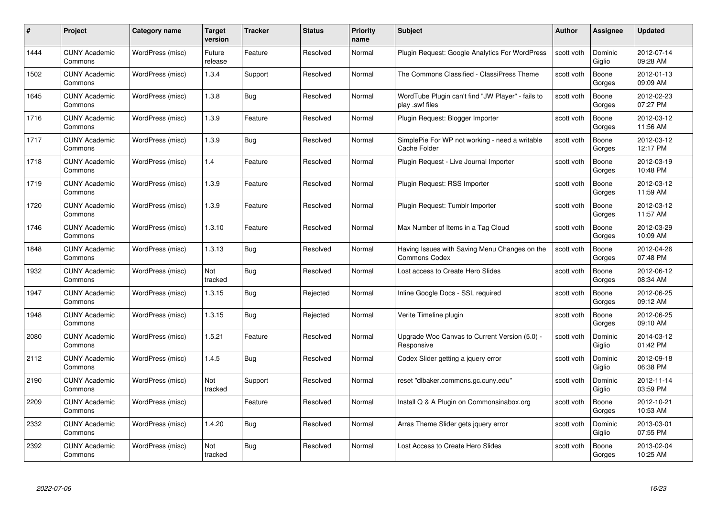| #    | Project                         | <b>Category name</b> | Target<br>version | <b>Tracker</b> | <b>Status</b> | <b>Priority</b><br>name | <b>Subject</b>                                                        | <b>Author</b> | <b>Assignee</b>   | <b>Updated</b>         |
|------|---------------------------------|----------------------|-------------------|----------------|---------------|-------------------------|-----------------------------------------------------------------------|---------------|-------------------|------------------------|
| 1444 | <b>CUNY Academic</b><br>Commons | WordPress (misc)     | Future<br>release | Feature        | Resolved      | Normal                  | Plugin Request: Google Analytics For WordPress                        | scott voth    | Dominic<br>Giglio | 2012-07-14<br>09:28 AM |
| 1502 | <b>CUNY Academic</b><br>Commons | WordPress (misc)     | 1.3.4             | Support        | Resolved      | Normal                  | The Commons Classified - ClassiPress Theme                            | scott voth    | Boone<br>Gorges   | 2012-01-13<br>09:09 AM |
| 1645 | <b>CUNY Academic</b><br>Commons | WordPress (misc)     | 1.3.8             | <b>Bug</b>     | Resolved      | Normal                  | WordTube Plugin can't find "JW Player" - fails to<br>play .swf files  | scott voth    | Boone<br>Gorges   | 2012-02-23<br>07:27 PM |
| 1716 | <b>CUNY Academic</b><br>Commons | WordPress (misc)     | 1.3.9             | Feature        | Resolved      | Normal                  | Plugin Request: Blogger Importer                                      | scott voth    | Boone<br>Gorges   | 2012-03-12<br>11:56 AM |
| 1717 | CUNY Academic<br>Commons        | WordPress (misc)     | 1.3.9             | Bug            | Resolved      | Normal                  | SimplePie For WP not working - need a writable<br>Cache Folder        | scott voth    | Boone<br>Gorges   | 2012-03-12<br>12:17 PM |
| 1718 | <b>CUNY Academic</b><br>Commons | WordPress (misc)     | 1.4               | Feature        | Resolved      | Normal                  | Plugin Request - Live Journal Importer                                | scott voth    | Boone<br>Gorges   | 2012-03-19<br>10:48 PM |
| 1719 | <b>CUNY Academic</b><br>Commons | WordPress (misc)     | 1.3.9             | Feature        | Resolved      | Normal                  | Plugin Request: RSS Importer                                          | scott voth    | Boone<br>Gorges   | 2012-03-12<br>11:59 AM |
| 1720 | <b>CUNY Academic</b><br>Commons | WordPress (misc)     | 1.3.9             | Feature        | Resolved      | Normal                  | Plugin Request: Tumblr Importer                                       | scott voth    | Boone<br>Gorges   | 2012-03-12<br>11:57 AM |
| 1746 | <b>CUNY Academic</b><br>Commons | WordPress (misc)     | 1.3.10            | Feature        | Resolved      | Normal                  | Max Number of Items in a Tag Cloud                                    | scott voth    | Boone<br>Gorges   | 2012-03-29<br>10:09 AM |
| 1848 | <b>CUNY Academic</b><br>Commons | WordPress (misc)     | 1.3.13            | Bug            | Resolved      | Normal                  | Having Issues with Saving Menu Changes on the<br><b>Commons Codex</b> | scott voth    | Boone<br>Gorges   | 2012-04-26<br>07:48 PM |
| 1932 | CUNY Academic<br>Commons        | WordPress (misc)     | Not<br>tracked    | Bug            | Resolved      | Normal                  | Lost access to Create Hero Slides                                     | scott voth    | Boone<br>Gorges   | 2012-06-12<br>08:34 AM |
| 1947 | <b>CUNY Academic</b><br>Commons | WordPress (misc)     | 1.3.15            | <b>Bug</b>     | Rejected      | Normal                  | Inline Google Docs - SSL required                                     | scott voth    | Boone<br>Gorges   | 2012-06-25<br>09:12 AM |
| 1948 | <b>CUNY Academic</b><br>Commons | WordPress (misc)     | 1.3.15            | Bug            | Rejected      | Normal                  | Verite Timeline plugin                                                | scott voth    | Boone<br>Gorges   | 2012-06-25<br>09:10 AM |
| 2080 | <b>CUNY Academic</b><br>Commons | WordPress (misc)     | 1.5.21            | Feature        | Resolved      | Normal                  | Upgrade Woo Canvas to Current Version (5.0) -<br>Responsive           | scott voth    | Dominic<br>Giglio | 2014-03-12<br>01:42 PM |
| 2112 | <b>CUNY Academic</b><br>Commons | WordPress (misc)     | 1.4.5             | Bug            | Resolved      | Normal                  | Codex Slider getting a jquery error                                   | scott voth    | Dominic<br>Giglio | 2012-09-18<br>06:38 PM |
| 2190 | <b>CUNY Academic</b><br>Commons | WordPress (misc)     | Not<br>tracked    | Support        | Resolved      | Normal                  | reset "dlbaker.commons.gc.cuny.edu"                                   | scott voth    | Dominic<br>Giglio | 2012-11-14<br>03:59 PM |
| 2209 | <b>CUNY Academic</b><br>Commons | WordPress (misc)     |                   | Feature        | Resolved      | Normal                  | Install Q & A Plugin on Commonsinabox.org                             | scott voth    | Boone<br>Gorges   | 2012-10-21<br>10:53 AM |
| 2332 | <b>CUNY Academic</b><br>Commons | WordPress (misc)     | 1.4.20            | Bug            | Resolved      | Normal                  | Arras Theme Slider gets jquery error                                  | scott voth    | Dominic<br>Giglio | 2013-03-01<br>07:55 PM |
| 2392 | CUNY Academic<br>Commons        | WordPress (misc)     | Not<br>tracked    | Bug            | Resolved      | Normal                  | Lost Access to Create Hero Slides                                     | scott voth    | Boone<br>Gorges   | 2013-02-04<br>10:25 AM |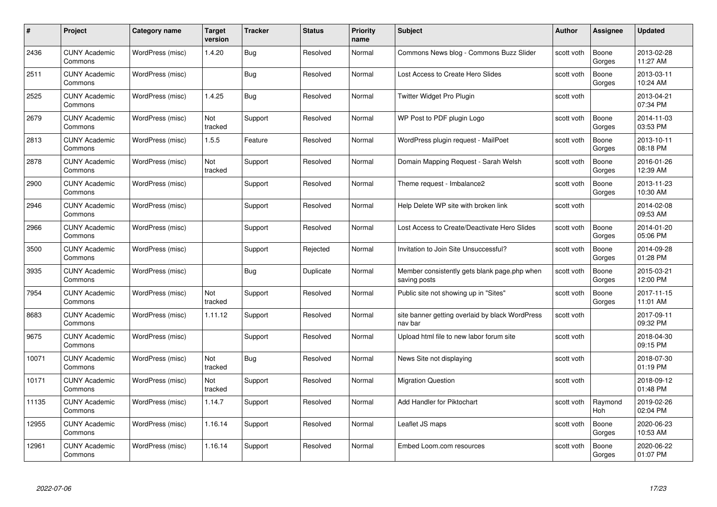| #     | Project                         | Category name    | Target<br>version | <b>Tracker</b> | <b>Status</b> | <b>Priority</b><br>name | <b>Subject</b>                                               | Author     | Assignee              | <b>Updated</b>         |
|-------|---------------------------------|------------------|-------------------|----------------|---------------|-------------------------|--------------------------------------------------------------|------------|-----------------------|------------------------|
| 2436  | <b>CUNY Academic</b><br>Commons | WordPress (misc) | 1.4.20            | Bug            | Resolved      | Normal                  | Commons News blog - Commons Buzz Slider                      | scott voth | Boone<br>Gorges       | 2013-02-28<br>11:27 AM |
| 2511  | <b>CUNY Academic</b><br>Commons | WordPress (misc) |                   | <b>Bug</b>     | Resolved      | Normal                  | Lost Access to Create Hero Slides                            | scott voth | Boone<br>Gorges       | 2013-03-11<br>10:24 AM |
| 2525  | <b>CUNY Academic</b><br>Commons | WordPress (misc) | 1.4.25            | <b>Bug</b>     | Resolved      | Normal                  | Twitter Widget Pro Plugin                                    | scott voth |                       | 2013-04-21<br>07:34 PM |
| 2679  | <b>CUNY Academic</b><br>Commons | WordPress (misc) | Not<br>tracked    | Support        | Resolved      | Normal                  | WP Post to PDF plugin Logo                                   | scott voth | Boone<br>Gorges       | 2014-11-03<br>03:53 PM |
| 2813  | <b>CUNY Academic</b><br>Commons | WordPress (misc) | 1.5.5             | Feature        | Resolved      | Normal                  | WordPress plugin request - MailPoet                          | scott voth | Boone<br>Gorges       | 2013-10-11<br>08:18 PM |
| 2878  | <b>CUNY Academic</b><br>Commons | WordPress (misc) | Not<br>tracked    | Support        | Resolved      | Normal                  | Domain Mapping Request - Sarah Welsh                         | scott voth | Boone<br>Gorges       | 2016-01-26<br>12:39 AM |
| 2900  | <b>CUNY Academic</b><br>Commons | WordPress (misc) |                   | Support        | Resolved      | Normal                  | Theme request - Imbalance2                                   | scott voth | Boone<br>Gorges       | 2013-11-23<br>10:30 AM |
| 2946  | <b>CUNY Academic</b><br>Commons | WordPress (misc) |                   | Support        | Resolved      | Normal                  | Help Delete WP site with broken link                         | scott voth |                       | 2014-02-08<br>09:53 AM |
| 2966  | <b>CUNY Academic</b><br>Commons | WordPress (misc) |                   | Support        | Resolved      | Normal                  | Lost Access to Create/Deactivate Hero Slides                 | scott voth | Boone<br>Gorges       | 2014-01-20<br>05:06 PM |
| 3500  | <b>CUNY Academic</b><br>Commons | WordPress (misc) |                   | Support        | Rejected      | Normal                  | Invitation to Join Site Unsuccessful?                        | scott voth | Boone<br>Gorges       | 2014-09-28<br>01:28 PM |
| 3935  | <b>CUNY Academic</b><br>Commons | WordPress (misc) |                   | Bug            | Duplicate     | Normal                  | Member consistently gets blank page php when<br>saving posts | scott voth | Boone<br>Gorges       | 2015-03-21<br>12:00 PM |
| 7954  | <b>CUNY Academic</b><br>Commons | WordPress (misc) | Not<br>tracked    | Support        | Resolved      | Normal                  | Public site not showing up in "Sites"                        | scott voth | Boone<br>Gorges       | 2017-11-15<br>11:01 AM |
| 8683  | <b>CUNY Academic</b><br>Commons | WordPress (misc) | 1.11.12           | Support        | Resolved      | Normal                  | site banner getting overlaid by black WordPress<br>nav bar   | scott voth |                       | 2017-09-11<br>09:32 PM |
| 9675  | <b>CUNY Academic</b><br>Commons | WordPress (misc) |                   | Support        | Resolved      | Normal                  | Upload html file to new labor forum site                     | scott voth |                       | 2018-04-30<br>09:15 PM |
| 10071 | <b>CUNY Academic</b><br>Commons | WordPress (misc) | Not<br>tracked    | <b>Bug</b>     | Resolved      | Normal                  | News Site not displaying                                     | scott voth |                       | 2018-07-30<br>01:19 PM |
| 10171 | <b>CUNY Academic</b><br>Commons | WordPress (misc) | Not<br>tracked    | Support        | Resolved      | Normal                  | <b>Migration Question</b>                                    | scott voth |                       | 2018-09-12<br>01:48 PM |
| 11135 | <b>CUNY Academic</b><br>Commons | WordPress (misc) | 1.14.7            | Support        | Resolved      | Normal                  | Add Handler for Piktochart                                   | scott voth | Raymond<br><b>Hoh</b> | 2019-02-26<br>02:04 PM |
| 12955 | <b>CUNY Academic</b><br>Commons | WordPress (misc) | 1.16.14           | Support        | Resolved      | Normal                  | Leaflet JS maps                                              | scott voth | Boone<br>Gorges       | 2020-06-23<br>10:53 AM |
| 12961 | <b>CUNY Academic</b><br>Commons | WordPress (misc) | 1.16.14           | Support        | Resolved      | Normal                  | Embed Loom.com resources                                     | scott voth | Boone<br>Gorges       | 2020-06-22<br>01:07 PM |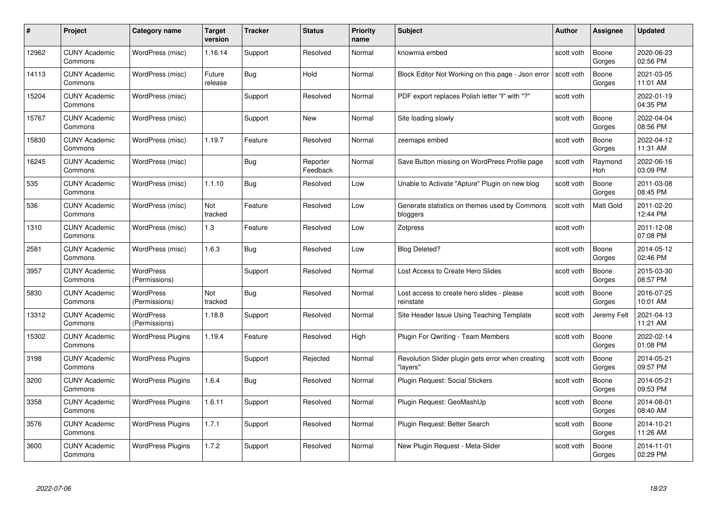|       | Project                         | <b>Category name</b>              | Target<br>version | <b>Tracker</b> | <b>Status</b>        | <b>Priority</b><br>name | <b>Subject</b>                                                | <b>Author</b> | <b>Assignee</b>  | <b>Updated</b>         |
|-------|---------------------------------|-----------------------------------|-------------------|----------------|----------------------|-------------------------|---------------------------------------------------------------|---------------|------------------|------------------------|
| 12962 | <b>CUNY Academic</b><br>Commons | WordPress (misc)                  | 1.16.14           | Support        | Resolved             | Normal                  | knowmia embed                                                 | scott voth    | Boone<br>Gorges  | 2020-06-23<br>02:56 PM |
| 14113 | <b>CUNY Academic</b><br>Commons | WordPress (misc)                  | Future<br>release | <b>Bug</b>     | Hold                 | Normal                  | Block Editor Not Working on this page - Json error            | scott voth    | Boone<br>Gorges  | 2021-03-05<br>11:01 AM |
| 15204 | <b>CUNY Academic</b><br>Commons | WordPress (misc)                  |                   | Support        | Resolved             | Normal                  | PDF export replaces Polish letter "ł" with "?"                | scott voth    |                  | 2022-01-19<br>04:35 PM |
| 15767 | <b>CUNY Academic</b><br>Commons | WordPress (misc)                  |                   | Support        | New                  | Normal                  | Site loading slowly                                           | scott voth    | Boone<br>Gorges  | 2022-04-04<br>08:56 PM |
| 15830 | <b>CUNY Academic</b><br>Commons | WordPress (misc)                  | 1.19.7            | Feature        | Resolved             | Normal                  | zeemaps embed                                                 | scott voth    | Boone<br>Gorges  | 2022-04-12<br>11:31 AM |
| 16245 | <b>CUNY Academic</b><br>Commons | WordPress (misc)                  |                   | <b>Bug</b>     | Reporter<br>Feedback | Normal                  | Save Button missing on WordPress Profile page                 | scott voth    | Raymond<br>Hoh   | 2022-06-16<br>03:09 PM |
| 535   | <b>CUNY Academic</b><br>Commons | WordPress (misc)                  | 1.1.10            | Bug            | Resolved             | Low                     | Unable to Activate "Apture" Plugin on new blog                | scott voth    | Boone<br>Gorges  | 2011-03-08<br>08:45 PM |
| 536   | <b>CUNY Academic</b><br>Commons | WordPress (misc)                  | Not<br>tracked    | Feature        | Resolved             | Low                     | Generate statistics on themes used by Commons<br>bloggers     | scott voth    | <b>Matt Gold</b> | 2011-02-20<br>12:44 PM |
| 1310  | <b>CUNY Academic</b><br>Commons | WordPress (misc)                  | $1.3$             | Feature        | Resolved             | Low                     | Zotpress                                                      | scott voth    |                  | 2011-12-08<br>07:08 PM |
| 2581  | <b>CUNY Academic</b><br>Commons | WordPress (misc)                  | 1.6.3             | Bug            | Resolved             | Low                     | <b>Blog Deleted?</b>                                          | scott voth    | Boone<br>Gorges  | 2014-05-12<br>02:46 PM |
| 3957  | <b>CUNY Academic</b><br>Commons | <b>WordPress</b><br>(Permissions) |                   | Support        | Resolved             | Normal                  | Lost Access to Create Hero Slides                             | scott voth    | Boone<br>Gorges  | 2015-03-30<br>08:57 PM |
| 5830  | <b>CUNY Academic</b><br>Commons | <b>WordPress</b><br>(Permissions) | Not<br>tracked    | Bug            | Resolved             | Normal                  | Lost access to create hero slides - please<br>reinstate       | scott voth    | Boone<br>Gorges  | 2016-07-25<br>10:01 AM |
| 13312 | <b>CUNY Academic</b><br>Commons | <b>WordPress</b><br>(Permissions) | 1.18.8            | Support        | Resolved             | Normal                  | Site Header Issue Using Teaching Template                     | scott voth    | Jeremy Felt      | 2021-04-13<br>11:21 AM |
| 15302 | <b>CUNY Academic</b><br>Commons | <b>WordPress Plugins</b>          | 1.19.4            | Feature        | Resolved             | High                    | Plugin For Qwriting - Team Members                            | scott voth    | Boone<br>Gorges  | 2022-02-14<br>01:08 PM |
| 3198  | <b>CUNY Academic</b><br>Commons | <b>WordPress Plugins</b>          |                   | Support        | Rejected             | Normal                  | Revolution Slider plugin gets error when creating<br>"lavers" | scott voth    | Boone<br>Gorges  | 2014-05-21<br>09:57 PM |
| 3200  | <b>CUNY Academic</b><br>Commons | <b>WordPress Plugins</b>          | 1.6.4             | <b>Bug</b>     | Resolved             | Normal                  | Plugin Request: Social Stickers                               | scott voth    | Boone<br>Gorges  | 2014-05-21<br>09:53 PM |
| 3358  | <b>CUNY Academic</b><br>Commons | <b>WordPress Plugins</b>          | 1.6.11            | Support        | Resolved             | Normal                  | Plugin Request: GeoMashUp                                     | scott voth    | Boone<br>Gorges  | 2014-08-01<br>08:40 AM |
| 3576  | <b>CUNY Academic</b><br>Commons | <b>WordPress Plugins</b>          | 1.7.1             | Support        | Resolved             | Normal                  | Plugin Request: Better Search                                 | scott voth    | Boone<br>Gorges  | 2014-10-21<br>11:26 AM |
| 3600  | <b>CUNY Academic</b><br>Commons | <b>WordPress Plugins</b>          | 1.7.2             | Support        | Resolved             | Normal                  | New Plugin Request - Meta-Slider                              | scott voth    | Boone<br>Gorges  | 2014-11-01<br>02:29 PM |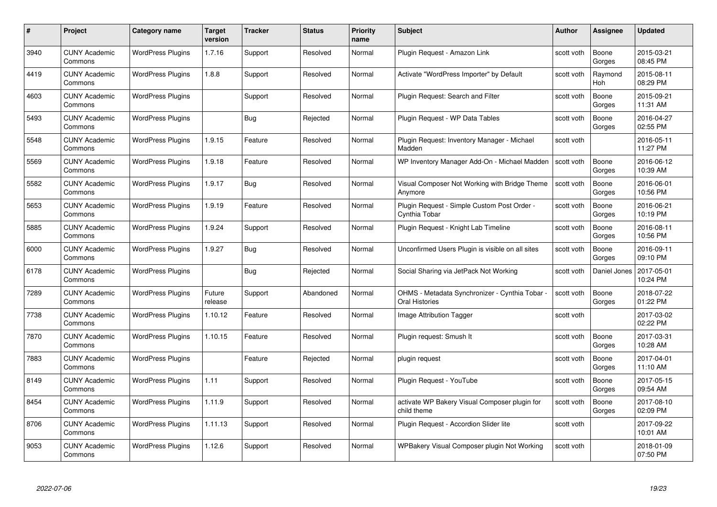| #    | Project                         | Category name            | Target<br>version | <b>Tracker</b> | <b>Status</b> | <b>Priority</b><br>name | <b>Subject</b>                                                          | <b>Author</b> | <b>Assignee</b>       | <b>Updated</b>         |
|------|---------------------------------|--------------------------|-------------------|----------------|---------------|-------------------------|-------------------------------------------------------------------------|---------------|-----------------------|------------------------|
| 3940 | <b>CUNY Academic</b><br>Commons | <b>WordPress Plugins</b> | 1.7.16            | Support        | Resolved      | Normal                  | Plugin Reguest - Amazon Link                                            | scott voth    | Boone<br>Gorges       | 2015-03-21<br>08:45 PM |
| 4419 | <b>CUNY Academic</b><br>Commons | <b>WordPress Plugins</b> | 1.8.8             | Support        | Resolved      | Normal                  | Activate "WordPress Importer" by Default                                | scott voth    | Raymond<br><b>Hoh</b> | 2015-08-11<br>08:29 PM |
| 4603 | <b>CUNY Academic</b><br>Commons | <b>WordPress Plugins</b> |                   | Support        | Resolved      | Normal                  | Plugin Request: Search and Filter                                       | scott voth    | Boone<br>Gorges       | 2015-09-21<br>11:31 AM |
| 5493 | <b>CUNY Academic</b><br>Commons | <b>WordPress Plugins</b> |                   | Bug            | Rejected      | Normal                  | Plugin Request - WP Data Tables                                         | scott voth    | Boone<br>Gorges       | 2016-04-27<br>02:55 PM |
| 5548 | <b>CUNY Academic</b><br>Commons | <b>WordPress Plugins</b> | 1.9.15            | Feature        | Resolved      | Normal                  | Plugin Request: Inventory Manager - Michael<br>Madden                   | scott voth    |                       | 2016-05-11<br>11:27 PM |
| 5569 | <b>CUNY Academic</b><br>Commons | <b>WordPress Plugins</b> | 1.9.18            | Feature        | Resolved      | Normal                  | WP Inventory Manager Add-On - Michael Madden                            | scott voth    | Boone<br>Gorges       | 2016-06-12<br>10:39 AM |
| 5582 | <b>CUNY Academic</b><br>Commons | <b>WordPress Plugins</b> | 1.9.17            | <b>Bug</b>     | Resolved      | Normal                  | Visual Composer Not Working with Bridge Theme<br>Anymore                | scott voth    | Boone<br>Gorges       | 2016-06-01<br>10:56 PM |
| 5653 | <b>CUNY Academic</b><br>Commons | <b>WordPress Plugins</b> | 1.9.19            | Feature        | Resolved      | Normal                  | Plugin Request - Simple Custom Post Order -<br>Cynthia Tobar            | scott voth    | Boone<br>Gorges       | 2016-06-21<br>10:19 PM |
| 5885 | <b>CUNY Academic</b><br>Commons | <b>WordPress Plugins</b> | 1.9.24            | Support        | Resolved      | Normal                  | Plugin Request - Knight Lab Timeline                                    | scott voth    | Boone<br>Gorges       | 2016-08-11<br>10:56 PM |
| 6000 | <b>CUNY Academic</b><br>Commons | <b>WordPress Plugins</b> | 1.9.27            | <b>Bug</b>     | Resolved      | Normal                  | Unconfirmed Users Plugin is visible on all sites                        | scott voth    | Boone<br>Gorges       | 2016-09-11<br>09:10 PM |
| 6178 | <b>CUNY Academic</b><br>Commons | <b>WordPress Plugins</b> |                   | Bug            | Rejected      | Normal                  | Social Sharing via JetPack Not Working                                  | scott voth    | Daniel Jones          | 2017-05-01<br>10:24 PM |
| 7289 | <b>CUNY Academic</b><br>Commons | <b>WordPress Plugins</b> | Future<br>release | Support        | Abandoned     | Normal                  | OHMS - Metadata Synchronizer - Cynthia Tobar -<br><b>Oral Histories</b> | scott voth    | Boone<br>Gorges       | 2018-07-22<br>01:22 PM |
| 7738 | <b>CUNY Academic</b><br>Commons | <b>WordPress Plugins</b> | 1.10.12           | Feature        | Resolved      | Normal                  | Image Attribution Tagger                                                | scott voth    |                       | 2017-03-02<br>02:22 PM |
| 7870 | <b>CUNY Academic</b><br>Commons | <b>WordPress Plugins</b> | 1.10.15           | Feature        | Resolved      | Normal                  | Plugin request: Smush It                                                | scott voth    | Boone<br>Gorges       | 2017-03-31<br>10:28 AM |
| 7883 | <b>CUNY Academic</b><br>Commons | <b>WordPress Plugins</b> |                   | Feature        | Rejected      | Normal                  | plugin request                                                          | scott voth    | Boone<br>Gorges       | 2017-04-01<br>11:10 AM |
| 8149 | <b>CUNY Academic</b><br>Commons | <b>WordPress Plugins</b> | 1.11              | Support        | Resolved      | Normal                  | Plugin Request - YouTube                                                | scott voth    | Boone<br>Gorges       | 2017-05-15<br>09:54 AM |
| 8454 | <b>CUNY Academic</b><br>Commons | <b>WordPress Plugins</b> | 1.11.9            | Support        | Resolved      | Normal                  | activate WP Bakery Visual Composer plugin for<br>child theme            | scott voth    | Boone<br>Gorges       | 2017-08-10<br>02:09 PM |
| 8706 | <b>CUNY Academic</b><br>Commons | <b>WordPress Plugins</b> | 1.11.13           | Support        | Resolved      | Normal                  | Plugin Request - Accordion Slider lite                                  | scott voth    |                       | 2017-09-22<br>10:01 AM |
| 9053 | CUNY Academic<br>Commons        | <b>WordPress Plugins</b> | 1.12.6            | Support        | Resolved      | Normal                  | WPBakery Visual Composer plugin Not Working                             | scott voth    |                       | 2018-01-09<br>07:50 PM |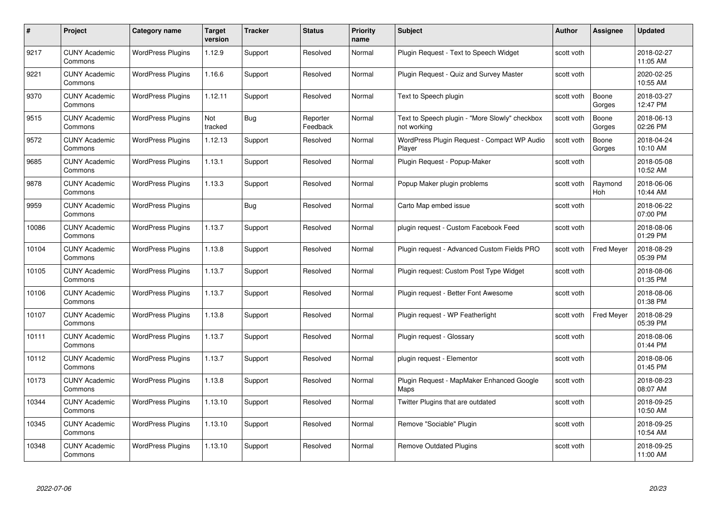| #     | Project                         | Category name            | <b>Target</b><br>version | <b>Tracker</b> | <b>Status</b>        | <b>Priority</b><br>name | <b>Subject</b>                                                | <b>Author</b> | <b>Assignee</b>   | <b>Updated</b>         |
|-------|---------------------------------|--------------------------|--------------------------|----------------|----------------------|-------------------------|---------------------------------------------------------------|---------------|-------------------|------------------------|
| 9217  | <b>CUNY Academic</b><br>Commons | <b>WordPress Plugins</b> | 1.12.9                   | Support        | Resolved             | Normal                  | Plugin Reguest - Text to Speech Widget                        | scott voth    |                   | 2018-02-27<br>11:05 AM |
| 9221  | <b>CUNY Academic</b><br>Commons | <b>WordPress Plugins</b> | 1.16.6                   | Support        | Resolved             | Normal                  | Plugin Request - Quiz and Survey Master                       | scott voth    |                   | 2020-02-25<br>10:55 AM |
| 9370  | <b>CUNY Academic</b><br>Commons | <b>WordPress Plugins</b> | 1.12.11                  | Support        | Resolved             | Normal                  | Text to Speech plugin                                         | scott voth    | Boone<br>Gorges   | 2018-03-27<br>12:47 PM |
| 9515  | <b>CUNY Academic</b><br>Commons | <b>WordPress Plugins</b> | Not<br>tracked           | Bug            | Reporter<br>Feedback | Normal                  | Text to Speech plugin - "More Slowly" checkbox<br>not working | scott voth    | Boone<br>Gorges   | 2018-06-13<br>02:26 PM |
| 9572  | <b>CUNY Academic</b><br>Commons | <b>WordPress Plugins</b> | 1.12.13                  | Support        | Resolved             | Normal                  | WordPress Plugin Request - Compact WP Audio<br>Player         | scott voth    | Boone<br>Gorges   | 2018-04-24<br>10:10 AM |
| 9685  | <b>CUNY Academic</b><br>Commons | <b>WordPress Plugins</b> | 1.13.1                   | Support        | Resolved             | Normal                  | Plugin Request - Popup-Maker                                  | scott voth    |                   | 2018-05-08<br>10:52 AM |
| 9878  | <b>CUNY Academic</b><br>Commons | <b>WordPress Plugins</b> | 1.13.3                   | Support        | Resolved             | Normal                  | Popup Maker plugin problems                                   | scott voth    | Raymond<br>Hoh    | 2018-06-06<br>10:44 AM |
| 9959  | <b>CUNY Academic</b><br>Commons | <b>WordPress Plugins</b> |                          | Bug            | Resolved             | Normal                  | Carto Map embed issue                                         | scott voth    |                   | 2018-06-22<br>07:00 PM |
| 10086 | <b>CUNY Academic</b><br>Commons | <b>WordPress Plugins</b> | 1.13.7                   | Support        | Resolved             | Normal                  | plugin request - Custom Facebook Feed                         | scott voth    |                   | 2018-08-06<br>01:29 PM |
| 10104 | <b>CUNY Academic</b><br>Commons | <b>WordPress Plugins</b> | 1.13.8                   | Support        | Resolved             | Normal                  | Plugin request - Advanced Custom Fields PRO                   | scott voth    | <b>Fred Meyer</b> | 2018-08-29<br>05:39 PM |
| 10105 | <b>CUNY Academic</b><br>Commons | <b>WordPress Plugins</b> | 1.13.7                   | Support        | Resolved             | Normal                  | Plugin request: Custom Post Type Widget                       | scott voth    |                   | 2018-08-06<br>01:35 PM |
| 10106 | <b>CUNY Academic</b><br>Commons | <b>WordPress Plugins</b> | 1.13.7                   | Support        | Resolved             | Normal                  | Plugin request - Better Font Awesome                          | scott voth    |                   | 2018-08-06<br>01:38 PM |
| 10107 | <b>CUNY Academic</b><br>Commons | <b>WordPress Plugins</b> | 1.13.8                   | Support        | Resolved             | Normal                  | Plugin request - WP Featherlight                              | scott voth    | <b>Fred Meyer</b> | 2018-08-29<br>05:39 PM |
| 10111 | <b>CUNY Academic</b><br>Commons | <b>WordPress Plugins</b> | 1.13.7                   | Support        | Resolved             | Normal                  | Plugin request - Glossary                                     | scott voth    |                   | 2018-08-06<br>01:44 PM |
| 10112 | <b>CUNY Academic</b><br>Commons | <b>WordPress Plugins</b> | 1.13.7                   | Support        | Resolved             | Normal                  | plugin request - Elementor                                    | scott voth    |                   | 2018-08-06<br>01:45 PM |
| 10173 | <b>CUNY Academic</b><br>Commons | <b>WordPress Plugins</b> | 1.13.8                   | Support        | Resolved             | Normal                  | Plugin Request - MapMaker Enhanced Google<br>Maps             | scott voth    |                   | 2018-08-23<br>08:07 AM |
| 10344 | <b>CUNY Academic</b><br>Commons | <b>WordPress Plugins</b> | 1.13.10                  | Support        | Resolved             | Normal                  | Twitter Plugins that are outdated                             | scott voth    |                   | 2018-09-25<br>10:50 AM |
| 10345 | <b>CUNY Academic</b><br>Commons | <b>WordPress Plugins</b> | 1.13.10                  | Support        | Resolved             | Normal                  | Remove "Sociable" Plugin                                      | scott voth    |                   | 2018-09-25<br>10:54 AM |
| 10348 | CUNY Academic<br>Commons        | <b>WordPress Plugins</b> | 1.13.10                  | Support        | Resolved             | Normal                  | <b>Remove Outdated Plugins</b>                                | scott voth    |                   | 2018-09-25<br>11:00 AM |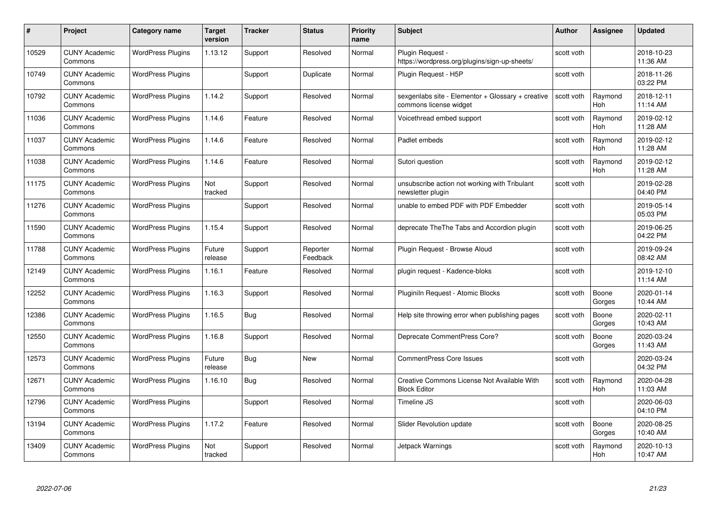| #     | Project                         | <b>Category name</b>     | Target<br>version | <b>Tracker</b> | <b>Status</b>        | <b>Priority</b><br>name | <b>Subject</b>                                                              | <b>Author</b> | <b>Assignee</b> | <b>Updated</b>         |
|-------|---------------------------------|--------------------------|-------------------|----------------|----------------------|-------------------------|-----------------------------------------------------------------------------|---------------|-----------------|------------------------|
| 10529 | <b>CUNY Academic</b><br>Commons | <b>WordPress Plugins</b> | 1.13.12           | Support        | Resolved             | Normal                  | Plugin Request -<br>https://wordpress.org/plugins/sign-up-sheets/           | scott voth    |                 | 2018-10-23<br>11:36 AM |
| 10749 | <b>CUNY Academic</b><br>Commons | <b>WordPress Plugins</b> |                   | Support        | Duplicate            | Normal                  | Plugin Request - H5P                                                        | scott voth    |                 | 2018-11-26<br>03:22 PM |
| 10792 | <b>CUNY Academic</b><br>Commons | <b>WordPress Plugins</b> | 1.14.2            | Support        | Resolved             | Normal                  | sexgenlabs site - Elementor + Glossary + creative<br>commons license widget | scott voth    | Raymond<br>Hoh  | 2018-12-11<br>11:14 AM |
| 11036 | <b>CUNY Academic</b><br>Commons | <b>WordPress Plugins</b> | 1.14.6            | Feature        | Resolved             | Normal                  | Voicethread embed support                                                   | scott voth    | Raymond<br>Hoh  | 2019-02-12<br>11:28 AM |
| 11037 | <b>CUNY Academic</b><br>Commons | <b>WordPress Plugins</b> | 1.14.6            | Feature        | Resolved             | Normal                  | Padlet embeds                                                               | scott voth    | Raymond<br>Hoh  | 2019-02-12<br>11:28 AM |
| 11038 | <b>CUNY Academic</b><br>Commons | <b>WordPress Plugins</b> | 1.14.6            | Feature        | Resolved             | Normal                  | Sutori question                                                             | scott voth    | Raymond<br>Hoh  | 2019-02-12<br>11:28 AM |
| 11175 | <b>CUNY Academic</b><br>Commons | <b>WordPress Plugins</b> | Not<br>tracked    | Support        | Resolved             | Normal                  | unsubscribe action not working with Tribulant<br>newsletter plugin          | scott voth    |                 | 2019-02-28<br>04:40 PM |
| 11276 | <b>CUNY Academic</b><br>Commons | <b>WordPress Plugins</b> |                   | Support        | Resolved             | Normal                  | unable to embed PDF with PDF Embedder                                       | scott voth    |                 | 2019-05-14<br>05:03 PM |
| 11590 | <b>CUNY Academic</b><br>Commons | <b>WordPress Plugins</b> | 1.15.4            | Support        | Resolved             | Normal                  | deprecate The The Tabs and Accordion plugin                                 | scott voth    |                 | 2019-06-25<br>04:22 PM |
| 11788 | <b>CUNY Academic</b><br>Commons | <b>WordPress Plugins</b> | Future<br>release | Support        | Reporter<br>Feedback | Normal                  | Plugin Request - Browse Aloud                                               | scott voth    |                 | 2019-09-24<br>08:42 AM |
| 12149 | CUNY Academic<br>Commons        | <b>WordPress Plugins</b> | 1.16.1            | Feature        | Resolved             | Normal                  | plugin request - Kadence-bloks                                              | scott voth    |                 | 2019-12-10<br>11:14 AM |
| 2252  | <b>CUNY Academic</b><br>Commons | <b>WordPress Plugins</b> | 1.16.3            | Support        | Resolved             | Normal                  | Pluginiln Request - Atomic Blocks                                           | scott voth    | Boone<br>Gorges | 2020-01-14<br>10:44 AM |
| 12386 | <b>CUNY Academic</b><br>Commons | <b>WordPress Plugins</b> | 1.16.5            | <b>Bug</b>     | Resolved             | Normal                  | Help site throwing error when publishing pages                              | scott voth    | Boone<br>Gorges | 2020-02-11<br>10:43 AM |
| 12550 | <b>CUNY Academic</b><br>Commons | <b>WordPress Plugins</b> | 1.16.8            | Support        | Resolved             | Normal                  | Deprecate CommentPress Core?                                                | scott voth    | Boone<br>Gorges | 2020-03-24<br>11:43 AM |
| 12573 | <b>CUNY Academic</b><br>Commons | <b>WordPress Plugins</b> | Future<br>release | Bug            | <b>New</b>           | Normal                  | <b>CommentPress Core Issues</b>                                             | scott voth    |                 | 2020-03-24<br>04:32 PM |
| 12671 | <b>CUNY Academic</b><br>Commons | <b>WordPress Plugins</b> | 1.16.10           | Bug            | Resolved             | Normal                  | Creative Commons License Not Available With<br><b>Block Editor</b>          | scott voth    | Raymond<br>Hoh  | 2020-04-28<br>11:03 AM |
| 12796 | <b>CUNY Academic</b><br>Commons | <b>WordPress Plugins</b> |                   | Support        | Resolved             | Normal                  | Timeline JS                                                                 | scott voth    |                 | 2020-06-03<br>04:10 PM |
| 13194 | <b>CUNY Academic</b><br>Commons | <b>WordPress Plugins</b> | 1.17.2            | Feature        | Resolved             | Normal                  | Slider Revolution update                                                    | scott voth    | Boone<br>Gorges | 2020-08-25<br>10:40 AM |
| 13409 | CUNY Academic<br>Commons        | <b>WordPress Plugins</b> | Not<br>tracked    | Support        | Resolved             | Normal                  | Jetpack Warnings                                                            | scott voth    | Raymond<br>Hoh  | 2020-10-13<br>10:47 AM |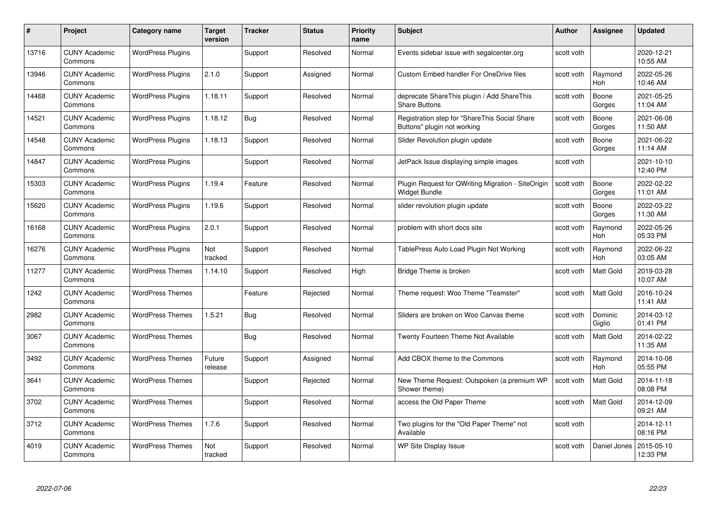| #     | Project                         | Category name            | Target<br>version | <b>Tracker</b> | <b>Status</b> | Priority<br>name | <b>Subject</b>                                                               | <b>Author</b> | <b>Assignee</b>       | <b>Updated</b>         |
|-------|---------------------------------|--------------------------|-------------------|----------------|---------------|------------------|------------------------------------------------------------------------------|---------------|-----------------------|------------------------|
| 13716 | <b>CUNY Academic</b><br>Commons | <b>WordPress Plugins</b> |                   | Support        | Resolved      | Normal           | Events sidebar issue with segalcenter.org                                    | scott voth    |                       | 2020-12-21<br>10:55 AM |
| 13946 | <b>CUNY Academic</b><br>Commons | <b>WordPress Plugins</b> | 2.1.0             | Support        | Assigned      | Normal           | <b>Custom Embed handler For OneDrive files</b>                               | scott voth    | Raymond<br>Hoh        | 2022-05-26<br>10:46 AM |
| 14468 | <b>CUNY Academic</b><br>Commons | <b>WordPress Plugins</b> | 1.18.11           | Support        | Resolved      | Normal           | deprecate ShareThis plugin / Add ShareThis<br><b>Share Buttons</b>           | scott voth    | Boone<br>Gorges       | 2021-05-25<br>11:04 AM |
| 14521 | <b>CUNY Academic</b><br>Commons | <b>WordPress Plugins</b> | 1.18.12           | Bug            | Resolved      | Normal           | Registration step for "ShareThis Social Share<br>Buttons" plugin not working | scott voth    | Boone<br>Gorges       | 2021-06-08<br>11:50 AM |
| 14548 | <b>CUNY Academic</b><br>Commons | <b>WordPress Plugins</b> | 1.18.13           | Support        | Resolved      | Normal           | Slider Revolution plugin update                                              | scott voth    | Boone<br>Gorges       | 2021-06-22<br>11:14 AM |
| 14847 | <b>CUNY Academic</b><br>Commons | <b>WordPress Plugins</b> |                   | Support        | Resolved      | Normal           | JetPack Issue displaying simple images                                       | scott voth    |                       | 2021-10-10<br>12:40 PM |
| 15303 | <b>CUNY Academic</b><br>Commons | <b>WordPress Plugins</b> | 1.19.4            | Feature        | Resolved      | Normal           | Plugin Request for QWriting Migration - SiteOrigin<br><b>Widget Bundle</b>   | scott voth    | Boone<br>Gorges       | 2022-02-22<br>11:01 AM |
| 15620 | <b>CUNY Academic</b><br>Commons | <b>WordPress Plugins</b> | 1.19.6            | Support        | Resolved      | Normal           | slider revolution plugin update                                              | scott voth    | Boone<br>Gorges       | 2022-03-22<br>11:30 AM |
| 16168 | <b>CUNY Academic</b><br>Commons | <b>WordPress Plugins</b> | 2.0.1             | Support        | Resolved      | Normal           | problem with short docs site                                                 | scott voth    | Raymond<br>Hoh        | 2022-05-26<br>05:33 PM |
| 16276 | <b>CUNY Academic</b><br>Commons | <b>WordPress Plugins</b> | Not<br>tracked    | Support        | Resolved      | Normal           | TablePress Auto Load Plugin Not Working                                      | scott voth    | Raymond<br>Hoh        | 2022-06-22<br>03:05 AM |
| 11277 | <b>CUNY Academic</b><br>Commons | <b>WordPress Themes</b>  | 1.14.10           | Support        | Resolved      | High             | Bridge Theme is broken                                                       | scott voth    | Matt Gold             | 2019-03-28<br>10:07 AM |
| 1242  | <b>CUNY Academic</b><br>Commons | <b>WordPress Themes</b>  |                   | Feature        | Rejected      | Normal           | Theme request: Woo Theme "Teamster"                                          | scott voth    | Matt Gold             | 2016-10-24<br>11:41 AM |
| 2982  | <b>CUNY Academic</b><br>Commons | <b>WordPress Themes</b>  | 1.5.21            | <b>Bug</b>     | Resolved      | Normal           | Sliders are broken on Woo Canvas theme                                       | scott voth    | Dominic<br>Giglio     | 2014-03-12<br>01:41 PM |
| 3067  | <b>CUNY Academic</b><br>Commons | <b>WordPress Themes</b>  |                   | Bug            | Resolved      | Normal           | Twenty Fourteen Theme Not Available                                          | scott voth    | Matt Gold             | 2014-02-22<br>11:35 AM |
| 3492  | <b>CUNY Academic</b><br>Commons | <b>WordPress Themes</b>  | Future<br>release | Support        | Assigned      | Normal           | Add CBOX theme to the Commons                                                | scott voth    | Raymond<br><b>Hoh</b> | 2014-10-08<br>05:55 PM |
| 3641  | <b>CUNY Academic</b><br>Commons | <b>WordPress Themes</b>  |                   | Support        | Rejected      | Normal           | New Theme Request: Outspoken (a premium WP<br>Shower theme)                  | scott voth    | <b>Matt Gold</b>      | 2014-11-18<br>08:08 PM |
| 3702  | <b>CUNY Academic</b><br>Commons | <b>WordPress Themes</b>  |                   | Support        | Resolved      | Normal           | access the Old Paper Theme                                                   | scott voth    | <b>Matt Gold</b>      | 2014-12-09<br>09:21 AM |
| 3712  | <b>CUNY Academic</b><br>Commons | <b>WordPress Themes</b>  | 1.7.6             | Support        | Resolved      | Normal           | Two plugins for the "Old Paper Theme" not<br>Available                       | scott voth    |                       | 2014-12-11<br>08:16 PM |
| 4019  | <b>CUNY Academic</b><br>Commons | <b>WordPress Themes</b>  | Not<br>tracked    | Support        | Resolved      | Normal           | <b>WP Site Display Issue</b>                                                 | scott voth    | Daniel Jones          | 2015-05-10<br>12:33 PM |